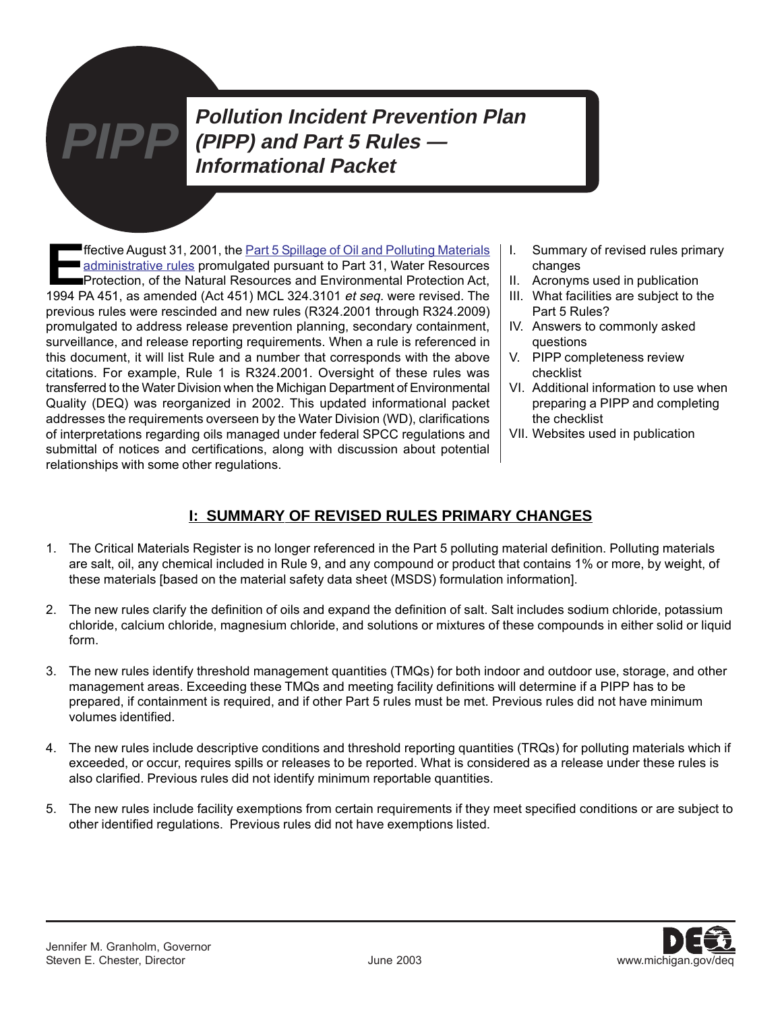**E**[ffective August 31, 2001, the Part 5 Spillage of Oil and Polluting Materials](http://www.michigan.gov/deq/0,4561,7-135-3313_23420---,00.html) administrative rules promulgated pursuant to Part 31, Water Resources Protection, of the Natural Resources and Environmental Protection Act, 1994 PA 451, as amended (Act 451) MCL 324.3101 et seq. were revised. The previous rules were rescinded and new rules (R324.2001 through R324.2009) promulgated to address release prevention planning, secondary containment, surveillance, and release reporting requirements. When a rule is referenced in this document, it will list Rule and a number that corresponds with the above citations. For example, Rule 1 is R324.2001. Oversight of these rules was transferred to the Water Division when the Michigan Department of Environmental Quality (DEQ) was reorganized in 2002. This updated informational packet addresses the requirements overseen by the Water Division (WD), clarifications of interpretations regarding oils managed under federal SPCC regulations and submittal of notices and certifications, along with discussion about potential relationships with some other regulations.

- I. Summary of revised rules primary changes
- II. Acronyms used in publication
- III. What facilities are subject to the Part 5 Rules?
- IV. Answers to commonly asked questions
- V. PIPP completeness review checklist
- VI. Additional information to use when preparing a PIPP and completing the checklist
- VII. Websites used in publication

# **I: SUMMARY OF REVISED RULES PRIMARY CHANGES**

- 1. The Critical Materials Register is no longer referenced in the Part 5 polluting material definition. Polluting materials are salt, oil, any chemical included in Rule 9, and any compound or product that contains 1% or more, by weight, of these materials [based on the material safety data sheet (MSDS) formulation information].
- 2. The new rules clarify the definition of oils and expand the definition of salt. Salt includes sodium chloride, potassium chloride, calcium chloride, magnesium chloride, and solutions or mixtures of these compounds in either solid or liquid form.
- 3. The new rules identify threshold management quantities (TMQs) for both indoor and outdoor use, storage, and other management areas. Exceeding these TMQs and meeting facility definitions will determine if a PIPP has to be prepared, if containment is required, and if other Part 5 rules must be met. Previous rules did not have minimum volumes identified.
- 4. The new rules include descriptive conditions and threshold reporting quantities (TRQs) for polluting materials which if exceeded, or occur, requires spills or releases to be reported. What is considered as a release under these rules is also clarified. Previous rules did not identify minimum reportable quantities.
- 5. The new rules include facility exemptions from certain requirements if they meet specified conditions or are subject to other identified regulations. Previous rules did not have exemptions listed.

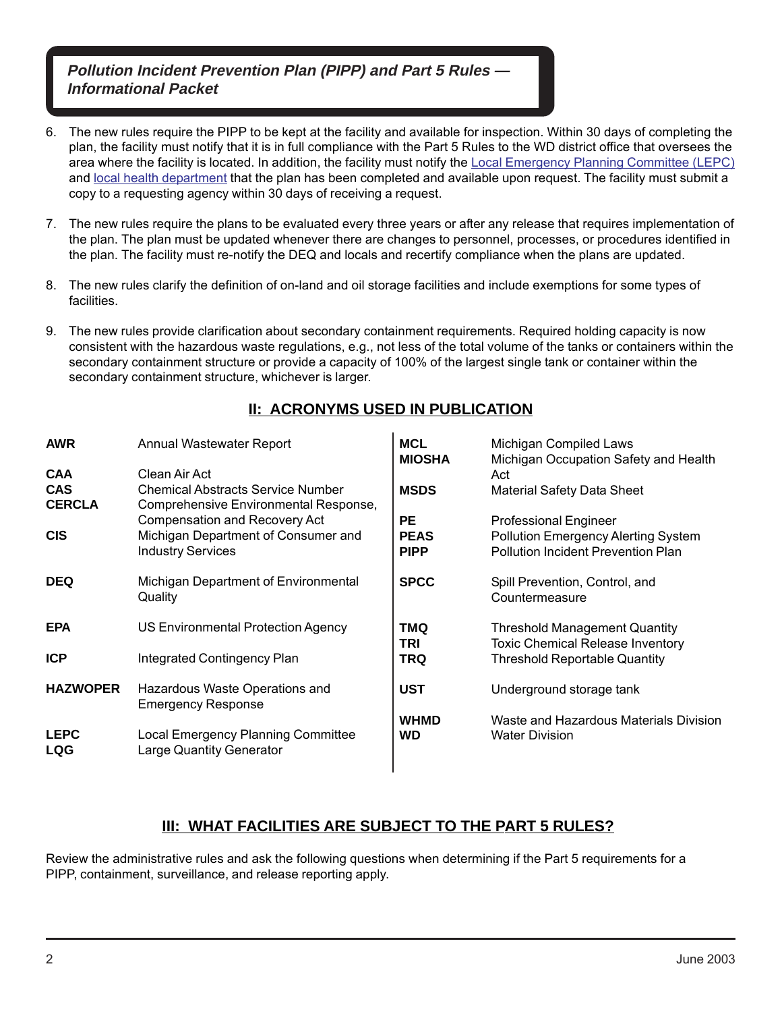- 6. The new rules require the PIPP to be kept at the facility and available for inspection. Within 30 days of completing the plan, the facility must notify that it is in full compliance with the Part 5 Rules to the WD district office that oversees the area where the facility is located. In addition, the facility must notify the [Local Emergency Planning Committee \(LEPC\)](http://www.michigan.gov/deq/0%2c1607%2c7-135-3307_3667_4161-61779--%2c00.html) and [local health department](http://www.michigan.gov/mdhhs/0,5885,7-339--96747--,00.html) that the plan has been completed and available upon request. The facility must submit a copy to a requesting agency within 30 days of receiving a request.
- 7. The new rules require the plans to be evaluated every three years or after any release that requires implementation of the plan. The plan must be updated whenever there are changes to personnel, processes, or procedures identified in the plan. The facility must re-notify the DEQ and locals and recertify compliance when the plans are updated.
- 8. The new rules clarify the definition of on-land and oil storage facilities and include exemptions for some types of facilities.
- 9. The new rules provide clarification about secondary containment requirements. Required holding capacity is now consistent with the hazardous waste regulations, e.g., not less of the total volume of the tanks or containers within the secondary containment structure or provide a capacity of 100% of the largest single tank or container within the secondary containment structure, whichever is larger.

# **II: ACRONYMS USED IN PUBLICATION**

| <b>AWR</b><br><b>CAA</b><br><b>CAS</b><br><b>CERCLA</b> | Annual Wastewater Report<br>Clean Air Act<br><b>Chemical Abstracts Service Number</b><br>Comprehensive Environmental Response, | <b>MCL</b><br><b>MIOSHA</b><br><b>MSDS</b> | Michigan Compiled Laws<br>Michigan Occupation Safety and Health<br>Act<br><b>Material Safety Data Sheet</b>             |
|---------------------------------------------------------|--------------------------------------------------------------------------------------------------------------------------------|--------------------------------------------|-------------------------------------------------------------------------------------------------------------------------|
| <b>CIS</b>                                              | <b>Compensation and Recovery Act</b><br>Michigan Department of Consumer and<br><b>Industry Services</b>                        | <b>PE</b><br><b>PEAS</b><br><b>PIPP</b>    | <b>Professional Engineer</b><br><b>Pollution Emergency Alerting System</b><br><b>Pollution Incident Prevention Plan</b> |
| <b>DEQ</b>                                              | Michigan Department of Environmental<br>Quality                                                                                | <b>SPCC</b>                                | Spill Prevention, Control, and<br>Countermeasure                                                                        |
| <b>EPA</b>                                              | US Environmental Protection Agency                                                                                             | <b>DMT</b><br>TRI                          | <b>Threshold Management Quantity</b><br><b>Toxic Chemical Release Inventory</b>                                         |
| <b>ICP</b>                                              | Integrated Contingency Plan                                                                                                    | TRQ                                        | <b>Threshold Reportable Quantity</b>                                                                                    |
| <b>HAZWOPER</b>                                         | Hazardous Waste Operations and<br><b>Emergency Response</b>                                                                    | <b>UST</b>                                 | Underground storage tank                                                                                                |
| <b>LEPC</b><br>LQG                                      | Local Emergency Planning Committee<br><b>Large Quantity Generator</b>                                                          | <b>WHMD</b><br>WD                          | Waste and Hazardous Materials Division<br><b>Water Division</b>                                                         |

# **III: WHAT FACILITIES ARE SUBJECT TO THE PART 5 RULES?**

Review the administrative rules and ask the following questions when determining if the Part 5 requirements for a PIPP, containment, surveillance, and release reporting apply.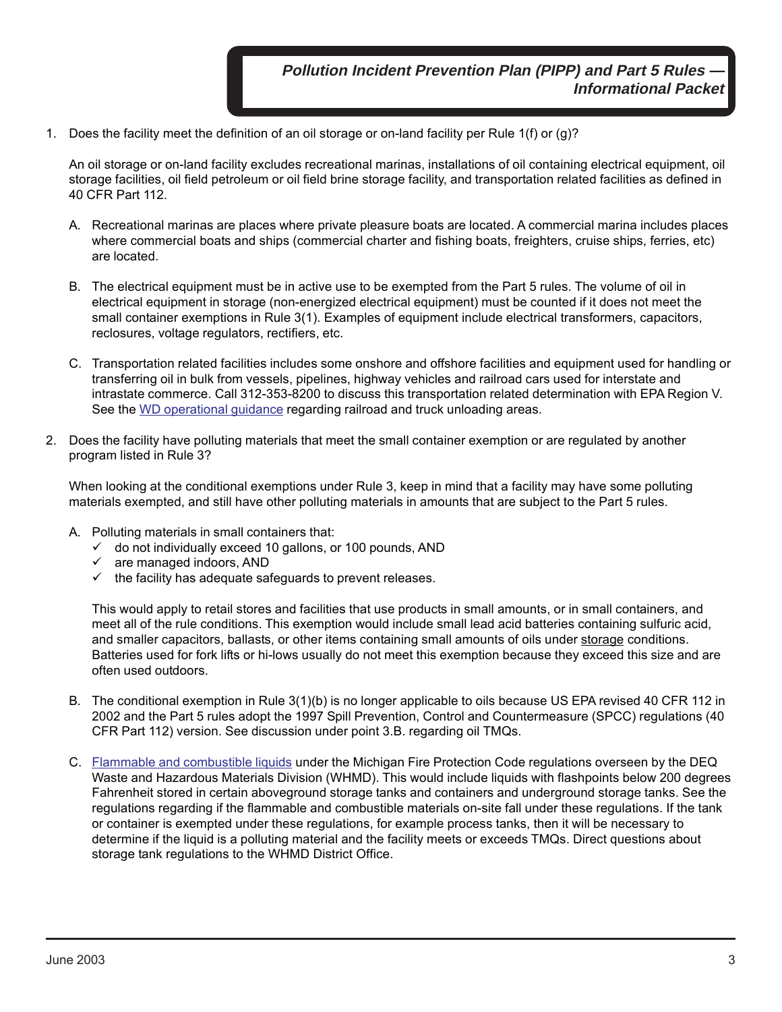1. Does the facility meet the definition of an oil storage or on-land facility per Rule 1(f) or (g)?

An oil storage or on-land facility excludes recreational marinas, installations of oil containing electrical equipment, oil storage facilities, oil field petroleum or oil field brine storage facility, and transportation related facilities as defined in 40 CFR Part 112.

- A. Recreational marinas are places where private pleasure boats are located. A commercial marina includes places where commercial boats and ships (commercial charter and fishing boats, freighters, cruise ships, ferries, etc) are located.
- B. The electrical equipment must be in active use to be exempted from the Part 5 rules. The volume of oil in electrical equipment in storage (non-energized electrical equipment) must be counted if it does not meet the small container exemptions in Rule 3(1). Examples of equipment include electrical transformers, capacitors, reclosures, voltage regulators, rectifiers, etc.
- C. Transportation related facilities includes some onshore and offshore facilities and equipment used for handling or transferring oil in bulk from vessels, pipelines, highway vehicles and railroad cars used for interstate and intrastate commerce. Call 312-353-8200 to discuss this transportation related determination with EPA Region V. See the [WD operational guidance](http://www.michigan.gov/deq/0%2c1607%2c7-135-3313_23420-69924--%2c00.html) regarding railroad and truck unloading areas.
- 2. Does the facility have polluting materials that meet the small container exemption or are regulated by another program listed in Rule 3?

When looking at the conditional exemptions under Rule 3, keep in mind that a facility may have some polluting materials exempted, and still have other polluting materials in amounts that are subject to the Part 5 rules.

- A. Polluting materials in small containers that:
	- $\checkmark$  do not individually exceed 10 gallons, or 100 pounds, AND
	- $\checkmark$  are managed indoors, AND
	- $\checkmark$  the facility has adequate safeguards to prevent releases.

This would apply to retail stores and facilities that use products in small amounts, or in small containers, and meet all of the rule conditions. This exemption would include small lead acid batteries containing sulfuric acid, and smaller capacitors, ballasts, or other items containing small amounts of oils under storage conditions. Batteries used for fork lifts or hi-lows usually do not meet this exemption because they exceed this size and are often used outdoors.

- B. The conditional exemption in Rule 3(1)(b) is no longer applicable to oils because US EPA revised 40 CFR 112 in 2002 and the Part 5 rules adopt the 1997 Spill Prevention, Control and Countermeasure (SPCC) regulations (40 CFR Part 112) version. See discussion under point 3.B. regarding oil TMQs.
- C. [Flammable and combustible liquids](http://www.michigan.gov/deq/0%2c1607%2c7-135-3311_4115_4237---%2c00.html) under the Michigan Fire Protection Code regulations overseen by the DEQ Waste and Hazardous Materials Division (WHMD). This would include liquids with flashpoints below 200 degrees Fahrenheit stored in certain aboveground storage tanks and containers and underground storage tanks. See the regulations regarding if the flammable and combustible materials on-site fall under these regulations. If the tank or container is exempted under these regulations, for example process tanks, then it will be necessary to determine if the liquid is a polluting material and the facility meets or exceeds TMQs. Direct questions about storage tank regulations to the WHMD District Office.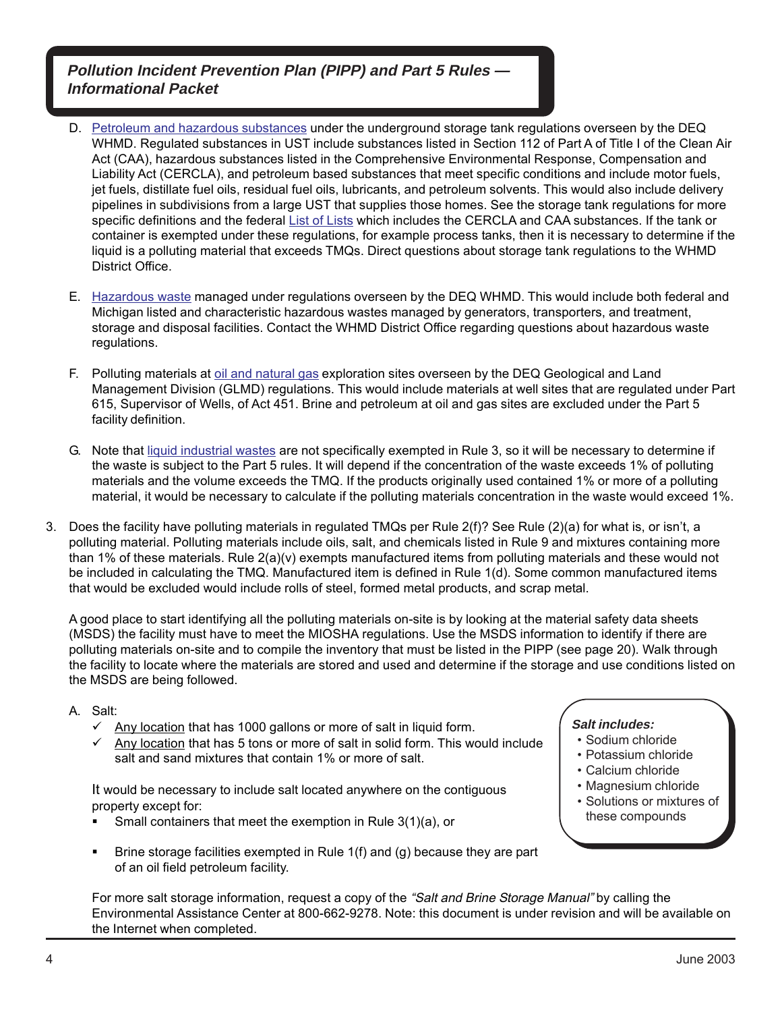- D. [Petroleum and hazardous substances](http://www.michigan.gov/deq/0%2c1607%2c7-135-3311_4115_4238---%2c00.html) under the underground storage tank regulations overseen by the DEQ WHMD. Regulated substances in UST include substances listed in Section 112 of Part A of Title I of the Clean Air Act (CAA), hazardous substances listed in the Comprehensive Environmental Response, Compensation and Liability Act (CERCLA), and petroleum based substances that meet specific conditions and include motor fuels, jet fuels, distillate fuel oils, residual fuel oils, lubricants, and petroleum solvents. This would also include delivery pipelines in subdivisions from a large UST that supplies those homes. See the storage tank regulations for more specific definitions and the federal [List of Lists](http://130.11.53.73/lol/) which includes the CERCLA and CAA substances. If the tank or container is exempted under these regulations, for example process tanks, then it is necessary to determine if the liquid is a polluting material that exceeds TMQs. Direct questions about storage tank regulations to the WHMD District Office.
- E. [Hazardous waste](http://www.michigan.gov/deq/0%2c1607%2c7-135-3312_4118_4240---%2c00.html) managed under regulations overseen by the DEQ WHMD. This would include both federal and Michigan listed and characteristic hazardous wastes managed by generators, transporters, and treatment, storage and disposal facilities. Contact the WHMD District Office regarding questions about hazardous waste regulations.
- F. Polluting materials at [oil and natural gas](http://www.michigan.gov/deq/0%2c1607%2c7-135-3311_4111_4231---%2c00.html) exploration sites overseen by the DEQ Geological and Land Management Division (GLMD) regulations. This would include materials at well sites that are regulated under Part 615, Supervisor of Wells, of Act 451. Brine and petroleum at oil and gas sites are excluded under the Part 5 facility definition.
- G. Note that [liquid industrial wastes](http://www.michiganlegislature.org/mileg.asp?page=getObject&objName=mcl-451-1994-II-3-121&highlight=) are not specifically exempted in Rule 3, so it will be necessary to determine if the waste is subject to the Part 5 rules. It will depend if the concentration of the waste exceeds 1% of polluting materials and the volume exceeds the TMQ. If the products originally used contained 1% or more of a polluting material, it would be necessary to calculate if the polluting materials concentration in the waste would exceed 1%.
- 3. Does the facility have polluting materials in regulated TMQs per Rule 2(f)? See Rule (2)(a) for what is, or isn't, a polluting material. Polluting materials include oils, salt, and chemicals listed in Rule 9 and mixtures containing more than 1% of these materials. Rule 2(a)(v) exempts manufactured items from polluting materials and these would not be included in calculating the TMQ. Manufactured item is defined in Rule 1(d). Some common manufactured items that would be excluded would include rolls of steel, formed metal products, and scrap metal.

A good place to start identifying all the polluting materials on-site is by looking at the material safety data sheets (MSDS) the facility must have to meet the MIOSHA regulations. Use the MSDS information to identify if there are polluting materials on-site and to compile the inventory that must be listed in the PIPP (see page 20). Walk through the facility to locate where the materials are stored and used and determine if the storage and use conditions listed on the MSDS are being followed.

- A. Salt:
	- $\checkmark$  Any location that has 1000 gallons or more of salt in liquid form.
	- $\checkmark$  Any location that has 5 tons or more of salt in solid form. This would include salt and sand mixtures that contain 1% or more of salt.

It would be necessary to include salt located anywhere on the contiguous property except for:

- Small containers that meet the exemption in Rule 3(1)(a), or
- Brine storage facilities exempted in Rule 1(f) and (g) because they are part of an oil field petroleum facility.

- **Salt includes:** • Sodium chloride
- Potassium chloride
- Calcium chloride
- 
- Magnesium chloride
- Solutions or mixtures of these compounds

For more salt storage information, request a copy of the "Salt and Brine Storage Manual" by calling the Environmental Assistance Center at 800-662-9278. Note: this document is under revision and will be available on the Internet when completed.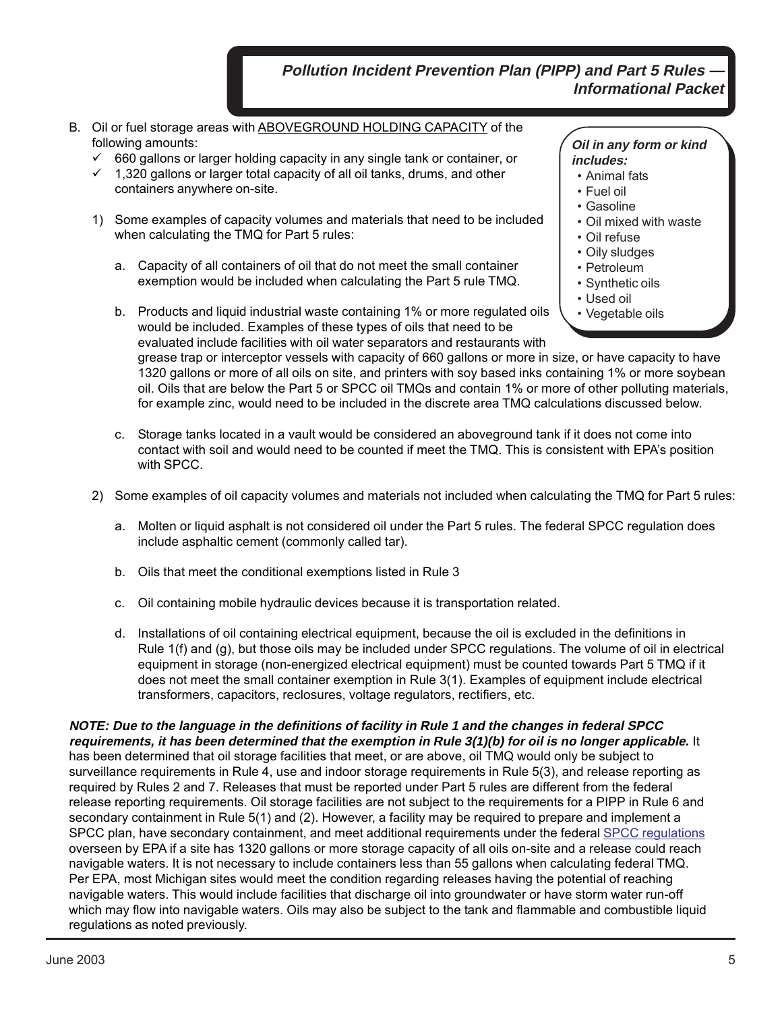- B. Oil or fuel storage areas with ABOVEGROUND HOLDING CAPACITY of the following amounts:
	- $\checkmark$  660 gallons or larger holding capacity in any single tank or container, or
	- $\checkmark$  1,320 gallons or larger total capacity of all oil tanks, drums, and other containers anywhere on-site.
	- 1) Some examples of capacity volumes and materials that need to be included when calculating the TMQ for Part 5 rules:
		- a. Capacity of all containers of oil that do not meet the small container exemption would be included when calculating the Part 5 rule TMQ.
		- b. Products and liquid industrial waste containing 1% or more regulated oils would be included. Examples of these types of oils that need to be evaluated include facilities with oil water separators and restaurants with

**Oil in any form or kind includes:**

- Animal fats
- Fuel oil
- Gasoline
- Oil mixed with waste
- Oil refuse
- Oily sludges
- Petroleum
- Synthetic oils
- Used oil
- Vegetable oils

grease trap or interceptor vessels with capacity of 660 gallons or more in size, or have capacity to have 1320 gallons or more of all oils on site, and printers with soy based inks containing 1% or more soybean oil. Oils that are below the Part 5 or SPCC oil TMQs and contain 1% or more of other polluting materials, for example zinc, would need to be included in the discrete area TMQ calculations discussed below.

- c. Storage tanks located in a vault would be considered an aboveground tank if it does not come into contact with soil and would need to be counted if meet the TMQ. This is consistent with EPA's position with SPCC.
- 2) Some examples of oil capacity volumes and materials not included when calculating the TMQ for Part 5 rules:
	- a. Molten or liquid asphalt is not considered oil under the Part 5 rules. The federal SPCC regulation does include asphaltic cement (commonly called tar).
	- b. Oils that meet the conditional exemptions listed in Rule 3
	- c. Oil containing mobile hydraulic devices because it is transportation related.
	- d. Installations of oil containing electrical equipment, because the oil is excluded in the definitions in Rule 1(f) and (g), but those oils may be included under SPCC regulations. The volume of oil in electrical equipment in storage (non-energized electrical equipment) must be counted towards Part 5 TMQ if it does not meet the small container exemption in Rule 3(1). Examples of equipment include electrical transformers, capacitors, reclosures, voltage regulators, rectifiers, etc.

**NOTE: Due to the language in the definitions of facility in Rule 1 and the changes in federal SPCC requirements, it has been determined that the exemption in Rule 3(1)(b) for oil is no longer applicable.** It has been determined that oil storage facilities that meet, or are above, oil TMQ would only be subject to surveillance requirements in Rule 4, use and indoor storage requirements in Rule 5(3), and release reporting as required by Rules 2 and 7. Releases that must be reported under Part 5 rules are different from the federal release reporting requirements. Oil storage facilities are not subject to the requirements for a PIPP in Rule 6 and secondary containment in Rule 5(1) and (2). However, a facility may be required to prepare and implement a SPCC plan, have secondary containment, and meet additional requirements under the federal [SPCC regulations](http://www.epa.gov/oilspill/) overseen by EPA if a site has 1320 gallons or more storage capacity of all oils on-site and a release could reach navigable waters. It is not necessary to include containers less than 55 gallons when calculating federal TMQ. Per EPA, most Michigan sites would meet the condition regarding releases having the potential of reaching navigable waters. This would include facilities that discharge oil into groundwater or have storm water run-off which may flow into navigable waters. Oils may also be subject to the tank and flammable and combustible liquid regulations as noted previously.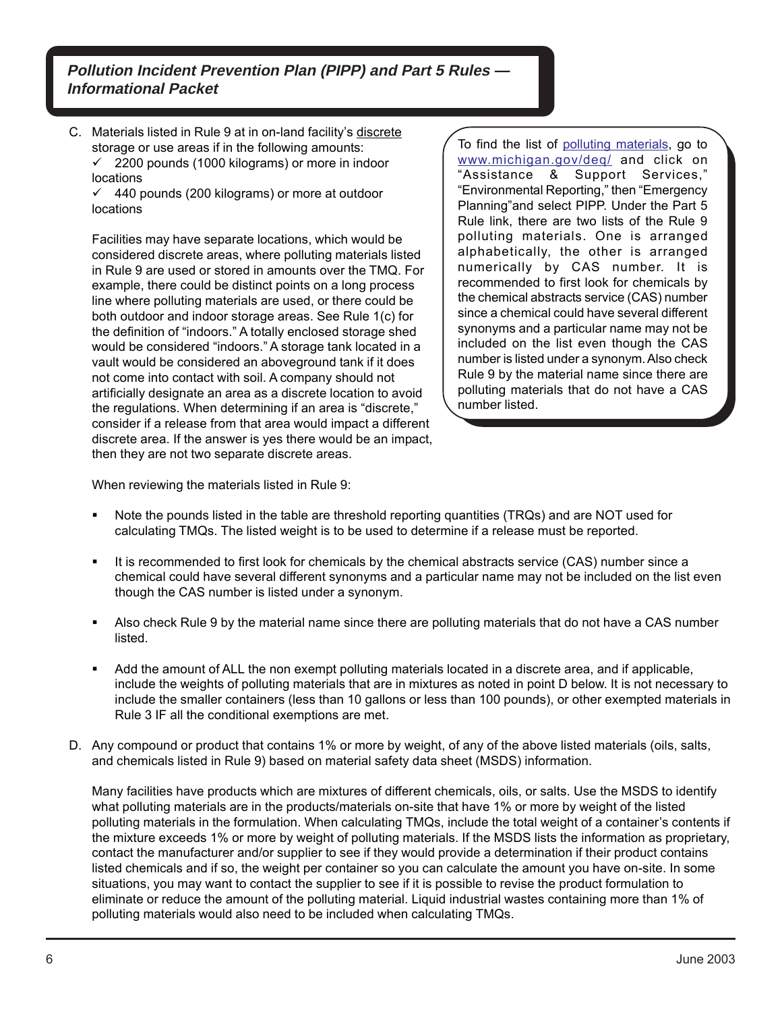C. Materials listed in Rule 9 at in on-land facility's discrete storage or use areas if in the following amounts:  $\checkmark$  2200 pounds (1000 kilograms) or more in indoor locations

 $\checkmark$  440 pounds (200 kilograms) or more at outdoor locations

Facilities may have separate locations, which would be considered discrete areas, where polluting materials listed in Rule 9 are used or stored in amounts over the TMQ. For example, there could be distinct points on a long process line where polluting materials are used, or there could be both outdoor and indoor storage areas. See Rule 1(c) for the definition of "indoors." A totally enclosed storage shed would be considered "indoors." A storage tank located in a vault would be considered an aboveground tank if it does not come into contact with soil. A company should not artificially designate an area as a discrete location to avoid the regulations. When determining if an area is "discrete," consider if a release from that area would impact a different discrete area. If the answer is yes there would be an impact, then they are not two separate discrete areas.

To find the list of [polluting materials,](http://www.michigan.gov/deq/0,4561,7-135-3313_23420---,00.html) go to [www.michigan.gov/deq/](http://www.michigan.gov/deq/0%2c1607%2c7-135-3307_3667_4161-21188--%2c00.html) and click on "Assistance & Support Services," "Environmental Reporting," then "Emergency Planning"and select PIPP. Under the Part 5 Rule link, there are two lists of the Rule 9 polluting materials. One is arranged alphabetically, the other is arranged numerically by CAS number. It is recommended to first look for chemicals by the chemical abstracts service (CAS) number since a chemical could have several different synonyms and a particular name may not be included on the list even though the CAS number is listed under a synonym. Also check Rule 9 by the material name since there are polluting materials that do not have a CAS number listed.

When reviewing the materials listed in Rule 9:

- Note the pounds listed in the table are threshold reporting quantities (TRQs) and are NOT used for calculating TMQs. The listed weight is to be used to determine if a release must be reported.
- It is recommended to first look for chemicals by the chemical abstracts service (CAS) number since a chemical could have several different synonyms and a particular name may not be included on the list even though the CAS number is listed under a synonym.
- Also check Rule 9 by the material name since there are polluting materials that do not have a CAS number listed.
- Add the amount of ALL the non exempt polluting materials located in a discrete area, and if applicable, include the weights of polluting materials that are in mixtures as noted in point D below. It is not necessary to include the smaller containers (less than 10 gallons or less than 100 pounds), or other exempted materials in Rule 3 IF all the conditional exemptions are met.
- D. Any compound or product that contains 1% or more by weight, of any of the above listed materials (oils, salts, and chemicals listed in Rule 9) based on material safety data sheet (MSDS) information.

Many facilities have products which are mixtures of different chemicals, oils, or salts. Use the MSDS to identify what polluting materials are in the products/materials on-site that have 1% or more by weight of the listed polluting materials in the formulation. When calculating TMQs, include the total weight of a container's contents if the mixture exceeds 1% or more by weight of polluting materials. If the MSDS lists the information as proprietary, contact the manufacturer and/or supplier to see if they would provide a determination if their product contains listed chemicals and if so, the weight per container so you can calculate the amount you have on-site. In some situations, you may want to contact the supplier to see if it is possible to revise the product formulation to eliminate or reduce the amount of the polluting material. Liquid industrial wastes containing more than 1% of polluting materials would also need to be included when calculating TMQs.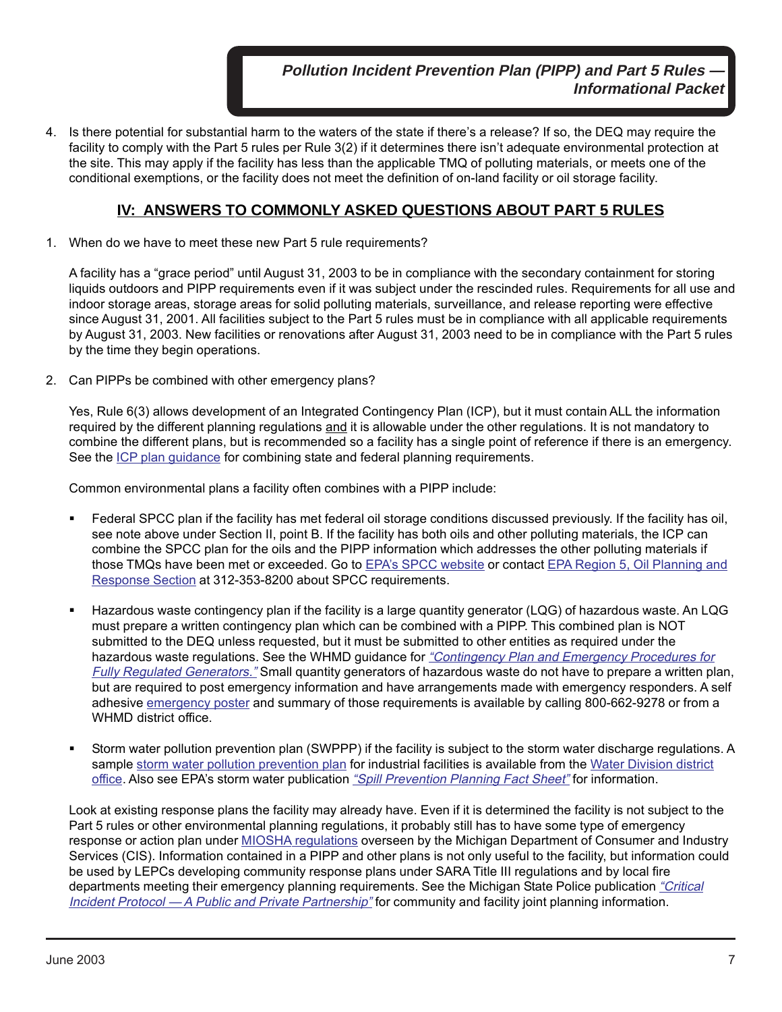4. Is there potential for substantial harm to the waters of the state if there's a release? If so, the DEQ may require the facility to comply with the Part 5 rules per Rule 3(2) if it determines there isn't adequate environmental protection at the site. This may apply if the facility has less than the applicable TMQ of polluting materials, or meets one of the conditional exemptions, or the facility does not meet the definition of on-land facility or oil storage facility.

# **IV: ANSWERS TO COMMONLY ASKED QUESTIONS ABOUT PART 5 RULES**

1. When do we have to meet these new Part 5 rule requirements?

A facility has a "grace period" until August 31, 2003 to be in compliance with the secondary containment for storing liquids outdoors and PIPP requirements even if it was subject under the rescinded rules. Requirements for all use and indoor storage areas, storage areas for solid polluting materials, surveillance, and release reporting were effective since August 31, 2001. All facilities subject to the Part 5 rules must be in compliance with all applicable requirements by August 31, 2003. New facilities or renovations after August 31, 2003 need to be in compliance with the Part 5 rules by the time they begin operations.

2. Can PIPPs be combined with other emergency plans?

Yes, Rule 6(3) allows development of an Integrated Contingency Plan (ICP), but it must contain ALL the information required by the different planning regulations and it is allowable under the other regulations. It is not mandatory to combine the different plans, but is recommended so a facility has a single point of reference if there is an emergency. See the *ICP plan guidance* for combining state and federal planning requirements.

Common environmental plans a facility often combines with a PIPP include:

- Federal SPCC plan if the facility has met federal oil storage conditions discussed previously. If the facility has oil, see note above under Section II, point B. If the facility has both oils and other polluting materials, the ICP can combine the SPCC plan for the oils and the PIPP information which addresses the other polluting materials if those TMQs have been met or exceeded. Go to [EPA's SPCC website](http://www.epa.gov/oilspill/) or contact [EPA Region 5, Oil Planning and](http://www.epa.gov/region5oil/) [Response Section](http://www.epa.gov/region5oil/) at 312-353-8200 about SPCC requirements.
- Hazardous waste contingency plan if the facility is a large quantity generator (LQG) of hazardous waste. An LQG must prepare a written contingency plan which can be combined with a PIPP. This combined plan is NOT submitted to the DEQ unless requested, but it must be submitted to other entities as required under the hazardous waste regulations. See the WHMD guidance for "Contingency Plan and Emergency Procedures for Fully Regulated Generators." [Small quantity generators of hazardous waste do not have to prepare a written pla](https://www.michigan.gov/documents/deq/deq-ead-tas-wmd-contgncy_306001_7.pdf)n, but are required to post emergency information and have arrangements made with emergency responders. A self adhesive [emergency poster](http://www.michigan.gov/documents/deq/deq-ead-tas-sqgposter_306002_7.pdf) and summary of those requirements is available by calling 800-662-9278 or from a WHMD district office.
- Storm water pollution prevention plan (SWPPP) if the facility is subject to the storm water discharge regulations. A sample [storm water pollution prevention plan](http://www.michigan.gov/deq/0%2c1607%2c7-135-3313_3682_3716---%2c00.html) for industrial facilities is available from the [Water Division district](http://www.michigan.gov/deq/0%2c1607%2c7-135-3313_3682_3716-24454--%2c00.html) [office.](http://www.michigan.gov/deq/0%2c1607%2c7-135-3313_3682_3716-24454--%2c00.html) Also see EPA's storm water publication ["Spill Prevention Planning Fact Sheet"](http://www.epa.gov/npdes/pubs/spillprv.pdf) for information.

Look at existing response plans the facility may already have. Even if it is determined the facility is not subject to the Part 5 rules or other environmental planning regulations, it probably still has to have some type of emergency response or action plan under [MIOSHA regulations](http://www.michigan.gov/lara/0,4601,7-154-11407---,00.html) overseen by the Michigan Department of Consumer and Industry Services (CIS). Information contained in a PIPP and other plans is not only useful to the facility, but information could be used by LEPCs developing community response plans under SARA Title III regulations and by local fire departments meeting their emergency planning requirements. See the Michigan State Police publication ["Critical](http://www.michigan.gov/documents/msp-critical__incident_Protocal_8735_7.pdf) [Incident Protocol — A Public and Private Partnership"](http://www.michigan.gov/documents/msp-critical__incident_Protocal_8735_7.pdf) for community and facility joint planning information.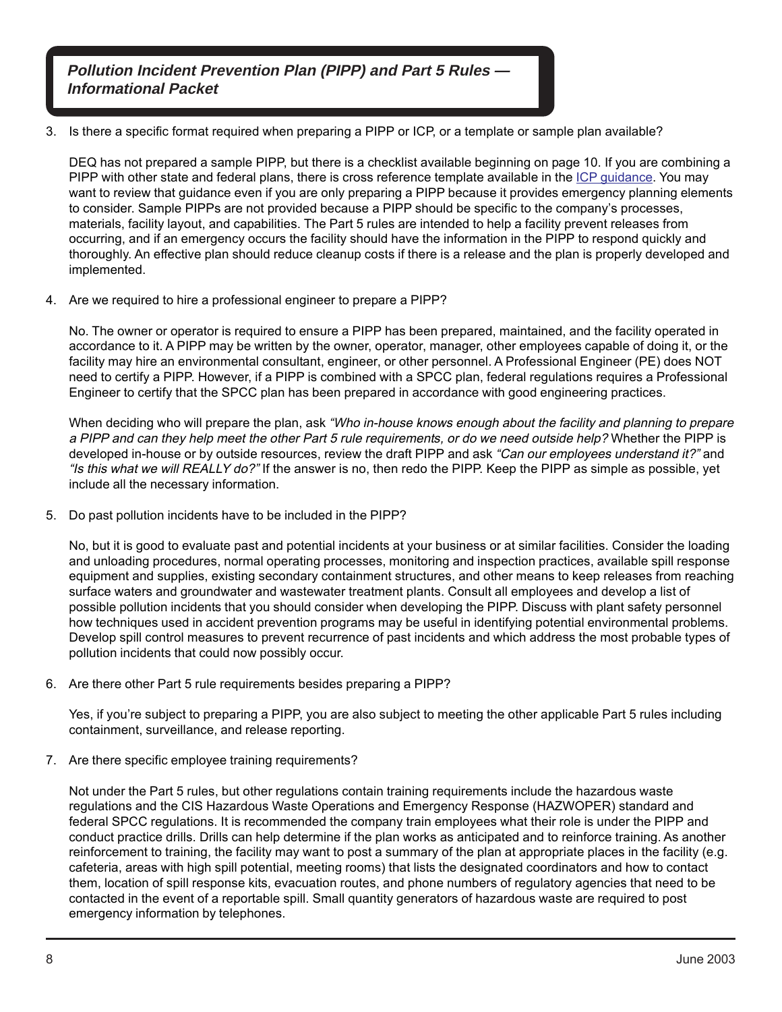3. Is there a specific format required when preparing a PIPP or ICP, or a template or sample plan available?

DEQ has not prepared a sample PIPP, but there is a checklist available beginning on page 10. If you are combining a PIPP with other state and federal plans, there is cross reference template available in the [ICP guidance.](http://www.michigan.gov/deq/0%2c1607%2c7-135-3307_3667_4161-58417--%2c00.html) You may want to review that guidance even if you are only preparing a PIPP because it provides emergency planning elements to consider. Sample PIPPs are not provided because a PIPP should be specific to the company's processes, materials, facility layout, and capabilities. The Part 5 rules are intended to help a facility prevent releases from occurring, and if an emergency occurs the facility should have the information in the PIPP to respond quickly and thoroughly. An effective plan should reduce cleanup costs if there is a release and the plan is properly developed and implemented.

4. Are we required to hire a professional engineer to prepare a PIPP?

No. The owner or operator is required to ensure a PIPP has been prepared, maintained, and the facility operated in accordance to it. A PIPP may be written by the owner, operator, manager, other employees capable of doing it, or the facility may hire an environmental consultant, engineer, or other personnel. A Professional Engineer (PE) does NOT need to certify a PIPP. However, if a PIPP is combined with a SPCC plan, federal regulations requires a Professional Engineer to certify that the SPCC plan has been prepared in accordance with good engineering practices.

When deciding who will prepare the plan, ask "Who in-house knows enough about the facility and planning to prepare a PIPP and can they help meet the other Part 5 rule requirements, or do we need outside help? Whether the PIPP is developed in-house or by outside resources, review the draft PIPP and ask "Can our employees understand it?" and "Is this what we will REALLY do?" If the answer is no, then redo the PIPP. Keep the PIPP as simple as possible, yet include all the necessary information.

5. Do past pollution incidents have to be included in the PIPP?

No, but it is good to evaluate past and potential incidents at your business or at similar facilities. Consider the loading and unloading procedures, normal operating processes, monitoring and inspection practices, available spill response equipment and supplies, existing secondary containment structures, and other means to keep releases from reaching surface waters and groundwater and wastewater treatment plants. Consult all employees and develop a list of possible pollution incidents that you should consider when developing the PIPP. Discuss with plant safety personnel how techniques used in accident prevention programs may be useful in identifying potential environmental problems. Develop spill control measures to prevent recurrence of past incidents and which address the most probable types of pollution incidents that could now possibly occur.

6. Are there other Part 5 rule requirements besides preparing a PIPP?

Yes, if you're subject to preparing a PIPP, you are also subject to meeting the other applicable Part 5 rules including containment, surveillance, and release reporting.

7. Are there specific employee training requirements?

Not under the Part 5 rules, but other regulations contain training requirements include the hazardous waste regulations and the CIS Hazardous Waste Operations and Emergency Response (HAZWOPER) standard and federal SPCC regulations. It is recommended the company train employees what their role is under the PIPP and conduct practice drills. Drills can help determine if the plan works as anticipated and to reinforce training. As another reinforcement to training, the facility may want to post a summary of the plan at appropriate places in the facility (e.g. cafeteria, areas with high spill potential, meeting rooms) that lists the designated coordinators and how to contact them, location of spill response kits, evacuation routes, and phone numbers of regulatory agencies that need to be contacted in the event of a reportable spill. Small quantity generators of hazardous waste are required to post emergency information by telephones.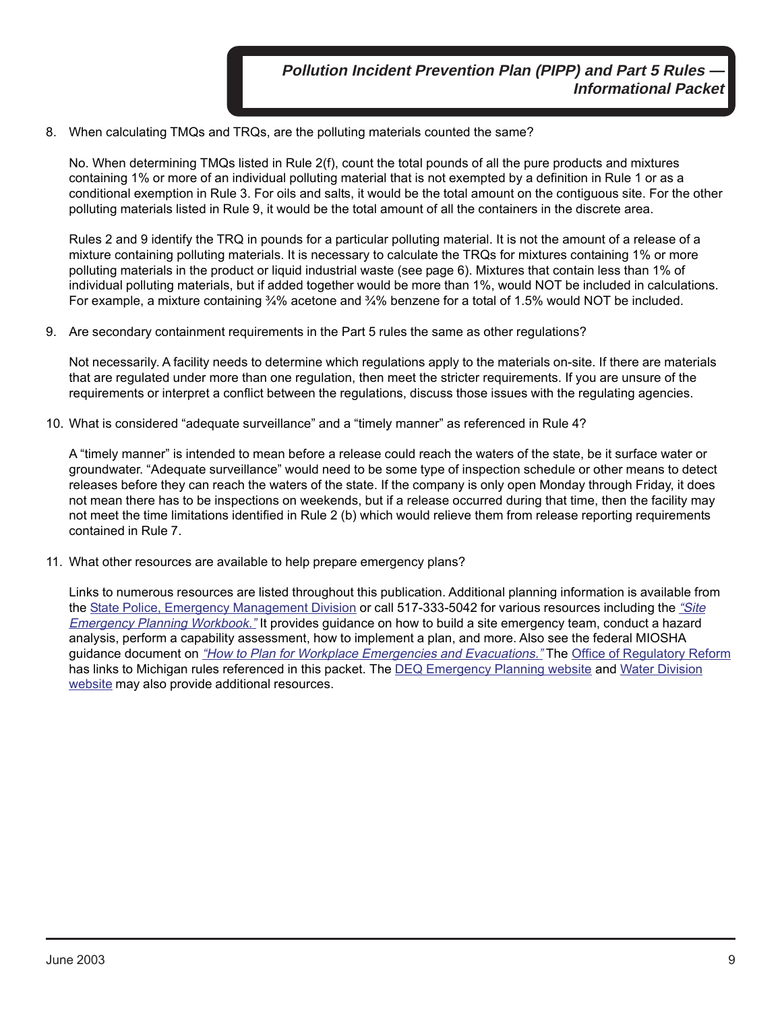8. When calculating TMQs and TRQs, are the polluting materials counted the same?

No. When determining TMQs listed in Rule 2(f), count the total pounds of all the pure products and mixtures containing 1% or more of an individual polluting material that is not exempted by a definition in Rule 1 or as a conditional exemption in Rule 3. For oils and salts, it would be the total amount on the contiguous site. For the other polluting materials listed in Rule 9, it would be the total amount of all the containers in the discrete area.

Rules 2 and 9 identify the TRQ in pounds for a particular polluting material. It is not the amount of a release of a mixture containing polluting materials. It is necessary to calculate the TRQs for mixtures containing 1% or more polluting materials in the product or liquid industrial waste (see page 6). Mixtures that contain less than 1% of individual polluting materials, but if added together would be more than 1%, would NOT be included in calculations. For example, a mixture containing ¾% acetone and ¾% benzene for a total of 1.5% would NOT be included.

9. Are secondary containment requirements in the Part 5 rules the same as other regulations?

Not necessarily. A facility needs to determine which regulations apply to the materials on-site. If there are materials that are regulated under more than one regulation, then meet the stricter requirements. If you are unsure of the requirements or interpret a conflict between the regulations, discuss those issues with the regulating agencies.

10. What is considered "adequate surveillance" and a "timely manner" as referenced in Rule 4?

A "timely manner" is intended to mean before a release could reach the waters of the state, be it surface water or groundwater. "Adequate surveillance" would need to be some type of inspection schedule or other means to detect releases before they can reach the waters of the state. If the company is only open Monday through Friday, it does not mean there has to be inspections on weekends, but if a release occurred during that time, then the facility may not meet the time limitations identified in Rule 2 (b) which would relieve them from release reporting requirements contained in Rule 7.

11. What other resources are available to help prepare emergency plans?

Links to numerous resources are listed throughout this publication. Additional planning information is available from the [State Police, Emergency Management Division](http://www.michigan.gov/msp/0,4643,7-123-72297_60152---,00.html) or call 517-333-5042 for various resources including the ["Site](http://www.michigan.gov/documents/msp-pub602_site_planning_8707_7.pdf) [Emergency Planning Workbook."](http://www.michigan.gov/documents/msp-pub602_site_planning_8707_7.pdf) It provides guidance on how to build a site emergency team, conduct a hazard analysis, perform a capability assessment, how to implement a plan, and more. Also see the federal MIOSHA guidance document on ["How to Plan for Workplace Emergencies and Evacuations."](http://www.osha.gov/Publications/osha3088.pdf) The [Office of Regulatory Reform](http://www.michigan.gov/orr) has links to Michigan rules referenced in this packet. The [DEQ Emergency Planning website](http://www.michigan.gov/deq/0%2c1607%2c7-135-3307_3667_4161---%2c00.html) and [Water Division](http://www.michigan.gov/deq/0%2c1607%2c7-135-3313---%2c00.html) [website](http://www.michigan.gov/deq/0%2c1607%2c7-135-3313---%2c00.html) may also provide additional resources.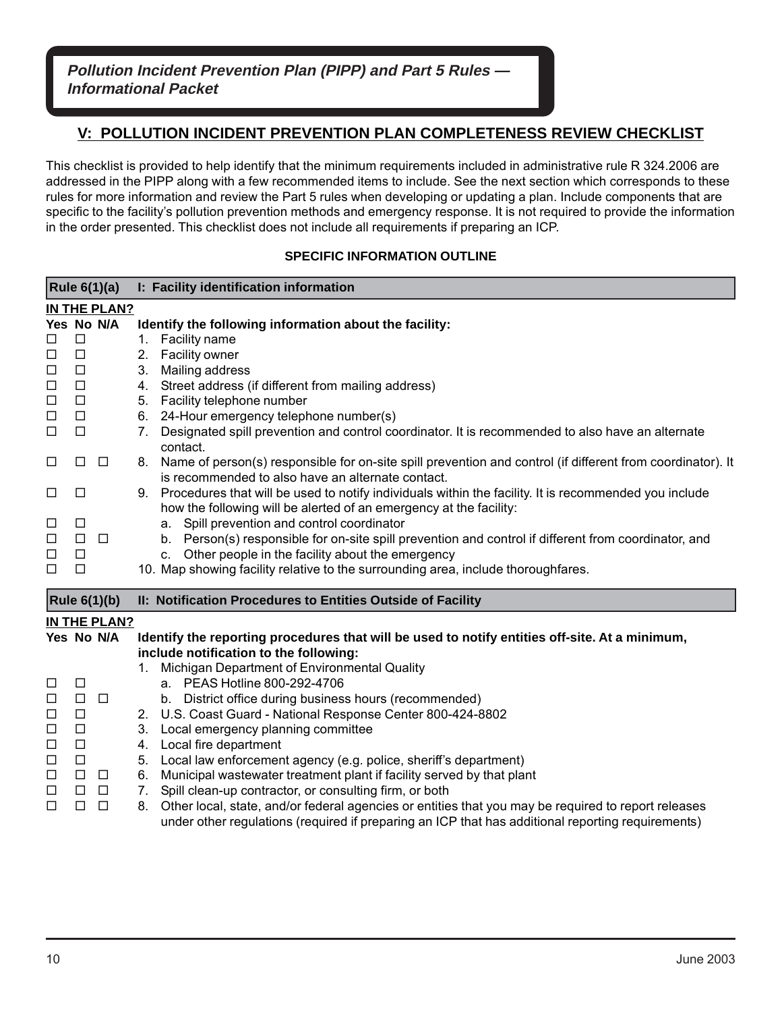# **V: POLLUTION INCIDENT PREVENTION PLAN COMPLETENESS REVIEW CHECKLIST**

This checklist is provided to help identify that the minimum requirements included in administrative rule R 324.2006 are addressed in the PIPP along with a few recommended items to include. See the next section which corresponds to these rules for more information and review the Part 5 rules when developing or updating a plan. Include components that are specific to the facility's pollution prevention methods and emergency response. It is not required to provide the information in the order presented. This checklist does not include all requirements if preparing an ICP.

#### **SPECIFIC INFORMATION OUTLINE**

|        |               | Rule 6(1)(a)        | I: Facility identification information                                                                                                                                            |  |  |
|--------|---------------|---------------------|-----------------------------------------------------------------------------------------------------------------------------------------------------------------------------------|--|--|
|        | IN THE PLAN?  |                     |                                                                                                                                                                                   |  |  |
|        |               | Yes No N/A          | Identify the following information about the facility:                                                                                                                            |  |  |
| $\Box$ | $\Box$        |                     | Facility name<br>1.                                                                                                                                                               |  |  |
| $\Box$ | $\Box$        |                     | Facility owner<br>2.                                                                                                                                                              |  |  |
| $\Box$ | $\Box$        |                     | Mailing address<br>3.                                                                                                                                                             |  |  |
| $\Box$ | $\Box$        |                     | 4. Street address (if different from mailing address)                                                                                                                             |  |  |
| $\Box$ | $\Box$        |                     | 5. Facility telephone number                                                                                                                                                      |  |  |
| $\Box$ | $\Box$        |                     | 6. 24-Hour emergency telephone number(s)                                                                                                                                          |  |  |
| $\Box$ | $\Box$        |                     | Designated spill prevention and control coordinator. It is recommended to also have an alternate<br>7.<br>contact.                                                                |  |  |
| $\Box$ | □             | $\Box$              | Name of person(s) responsible for on-site spill prevention and control (if different from coordinator). It<br>8.<br>is recommended to also have an alternate contact.             |  |  |
| $\Box$ | ⊔             |                     | Procedures that will be used to notify individuals within the facility. It is recommended you include<br>9.<br>how the following will be alerted of an emergency at the facility: |  |  |
| $\Box$ | $\Box$        |                     | Spill prevention and control coordinator                                                                                                                                          |  |  |
| $\Box$ | $\Box$ $\Box$ |                     | а.<br>b. Person(s) responsible for on-site spill prevention and control if different from coordinator, and                                                                        |  |  |
| $\Box$ | $\Box$        |                     | c. Other people in the facility about the emergency                                                                                                                               |  |  |
| $\Box$ | $\Box$        |                     | 10. Map showing facility relative to the surrounding area, include thoroughfares.                                                                                                 |  |  |
|        |               |                     |                                                                                                                                                                                   |  |  |
|        |               | <b>Rule 6(1)(b)</b> | II: Notification Procedures to Entities Outside of Facility                                                                                                                       |  |  |
|        |               | IN THE PLAN?        |                                                                                                                                                                                   |  |  |
|        |               | Yes No N/A          | Identify the reporting procedures that will be used to notify entities off-site. At a minimum,                                                                                    |  |  |
|        |               |                     | include notification to the following:                                                                                                                                            |  |  |
|        |               |                     | Michigan Department of Environmental Quality                                                                                                                                      |  |  |
| $\Box$ | □             |                     | a. PEAS Hotline 800-292-4706                                                                                                                                                      |  |  |
| $\Box$ | $\Box$        | $\Box$              | b. District office during business hours (recommended)                                                                                                                            |  |  |
| $\Box$ | $\Box$        |                     | 2. U.S. Coast Guard - National Response Center 800-424-8802                                                                                                                       |  |  |
| $\Box$ | $\Box$        |                     | Local emergency planning committee<br>3.                                                                                                                                          |  |  |
| $\Box$ | $\Box$        |                     | 4. Local fire department                                                                                                                                                          |  |  |
| $\Box$ | $\Box$        |                     | 5. Local law enforcement agency (e.g. police, sheriff's department)                                                                                                               |  |  |
| $\Box$ | $\Box$        | $\Box$              | Municipal wastewater treatment plant if facility served by that plant<br>6.                                                                                                       |  |  |
| $\Box$ | $\Box$        | $\Box$              | 7. Spill clean-up contractor, or consulting firm, or both                                                                                                                         |  |  |
| $\Box$ | $\Box$        | $\Box$              | 8. Other local, state, and/or federal agencies or entities that you may be required to report releases                                                                            |  |  |
|        |               |                     | under other regulations (required if preparing an ICP that has additional reporting requirements)                                                                                 |  |  |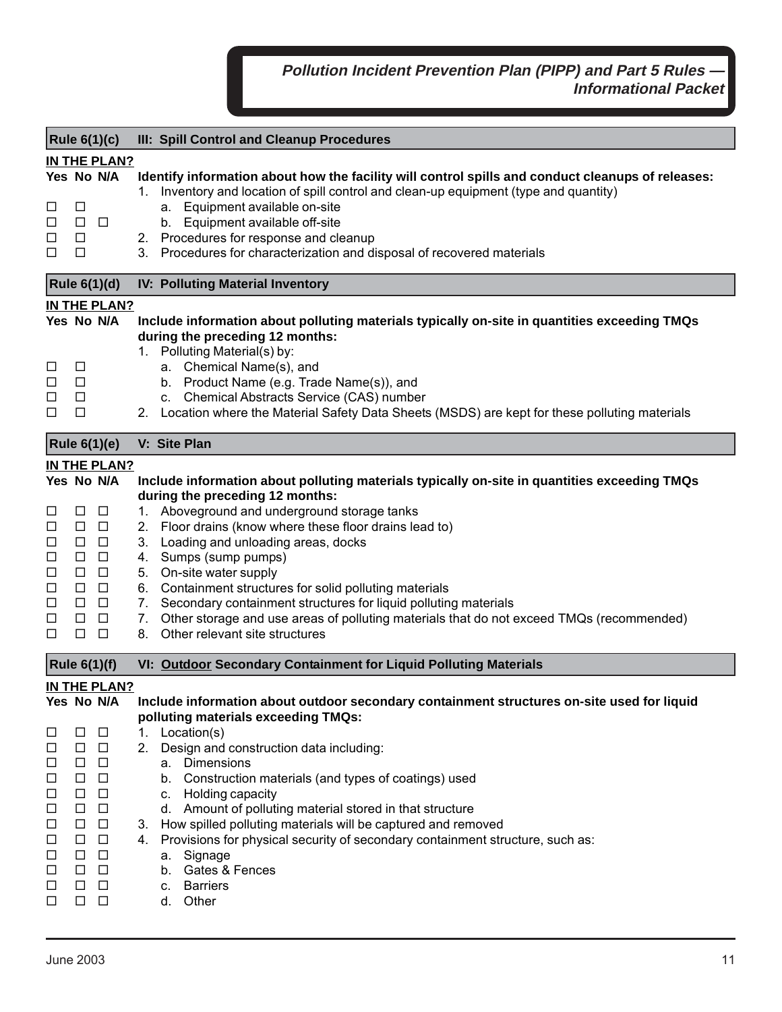| <b>Rule 6(1)(c)</b>                                                                    |                                                                                                                 |                                                                                                                                                           | III: Spill Control and Cleanup Procedures                                                                                                                                                                                                                                                                                                                                                                                                                                                                                                                                                                             |  |  |  |
|----------------------------------------------------------------------------------------|-----------------------------------------------------------------------------------------------------------------|-----------------------------------------------------------------------------------------------------------------------------------------------------------|-----------------------------------------------------------------------------------------------------------------------------------------------------------------------------------------------------------------------------------------------------------------------------------------------------------------------------------------------------------------------------------------------------------------------------------------------------------------------------------------------------------------------------------------------------------------------------------------------------------------------|--|--|--|
| □<br>$\Box$<br>□<br>□                                                                  | П<br>$\Box$ $\Box$<br>$\Box$<br>□                                                                               | <b>IN THE PLAN?</b><br>Yes No N/A                                                                                                                         | Identify information about how the facility will control spills and conduct cleanups of releases:<br>1. Inventory and location of spill control and clean-up equipment (type and quantity)<br>a. Equipment available on-site<br>b. Equipment available off-site<br>2. Procedures for response and cleanup<br>3. Procedures for characterization and disposal of recovered materials                                                                                                                                                                                                                                   |  |  |  |
|                                                                                        |                                                                                                                 | <b>Rule 6(1)(d)</b>                                                                                                                                       | <b>IV: Polluting Material Inventory</b>                                                                                                                                                                                                                                                                                                                                                                                                                                                                                                                                                                               |  |  |  |
| □<br>$\Box$<br>□<br>□                                                                  | $\Box$<br>$\Box$<br>$\Box$<br>$\Box$                                                                            | IN THE PLAN?<br>Yes No N/A                                                                                                                                | Include information about polluting materials typically on-site in quantities exceeding TMQs<br>during the preceding 12 months:<br>1. Polluting Material(s) by:<br>a. Chemical Name(s), and<br>b. Product Name (e.g. Trade Name(s)), and<br>c. Chemical Abstracts Service (CAS) number<br>2. Location where the Material Safety Data Sheets (MSDS) are kept for these polluting materials                                                                                                                                                                                                                             |  |  |  |
|                                                                                        |                                                                                                                 | <b>Rule 6(1)(e)</b>                                                                                                                                       | V: Site Plan                                                                                                                                                                                                                                                                                                                                                                                                                                                                                                                                                                                                          |  |  |  |
| □<br>$\Box$<br>$\Box$<br>$\Box$<br>$\Box$<br>$\Box$<br>$\Box$<br>□<br>□                | □<br>$\Box$ $\Box$<br>$\Box$<br>$\Box$<br>$\Box$<br>$\Box$<br>$\Box$<br>$\Box$<br>$\Box$                        | IN THE PLAN?<br>Yes No N/A<br>$\Box$<br>$\Box$<br>$\Box$<br>$\Box$<br>$\Box$<br>$\Box$<br>$\Box$<br>$\Box$                                                | Include information about polluting materials typically on-site in quantities exceeding TMQs<br>during the preceding 12 months:<br>1. Aboveground and underground storage tanks<br>2. Floor drains (know where these floor drains lead to)<br>Loading and unloading areas, docks<br>3.<br>4. Sumps (sump pumps)<br>5. On-site water supply<br>6. Containment structures for solid polluting materials<br>7. Secondary containment structures for liquid polluting materials<br>Other storage and use areas of polluting materials that do not exceed TMQs (recommended)<br>7.<br>Other relevant site structures<br>8. |  |  |  |
|                                                                                        |                                                                                                                 | <b>Rule 6(1)(f)</b>                                                                                                                                       | VI: Outdoor Secondary Containment for Liquid Polluting Materials                                                                                                                                                                                                                                                                                                                                                                                                                                                                                                                                                      |  |  |  |
| $\Box$<br>□<br>$\Box$<br>□<br>$\Box$<br>□<br>$\Box$<br>$\Box$<br>□<br>$\Box$<br>□<br>□ | □<br>$\Box$<br>$\Box$<br>$\Box$<br>$\Box$<br>$\Box$<br>$\Box$<br>$\Box$<br>$\Box$<br>$\Box$<br>$\Box$<br>$\Box$ | <b>IN THE PLAN?</b><br>Yes No N/A<br>$\Box$<br>$\Box$<br>$\Box$<br>$\Box$<br>$\Box$<br>$\Box$<br>$\Box$<br>$\Box$<br>$\Box$<br>$\Box$<br>$\Box$<br>$\Box$ | Include information about outdoor secondary containment structures on-site used for liquid<br>polluting materials exceeding TMQs:<br>Location(s)<br>1.<br>Design and construction data including:<br>2.<br>Dimensions<br>а.<br>b. Construction materials (and types of coatings) used<br>c. Holding capacity<br>d. Amount of polluting material stored in that structure<br>3. How spilled polluting materials will be captured and removed<br>4. Provisions for physical security of secondary containment structure, such as:<br>Signage<br>a.<br>b. Gates & Fences<br><b>Barriers</b><br>C.<br>d. Other            |  |  |  |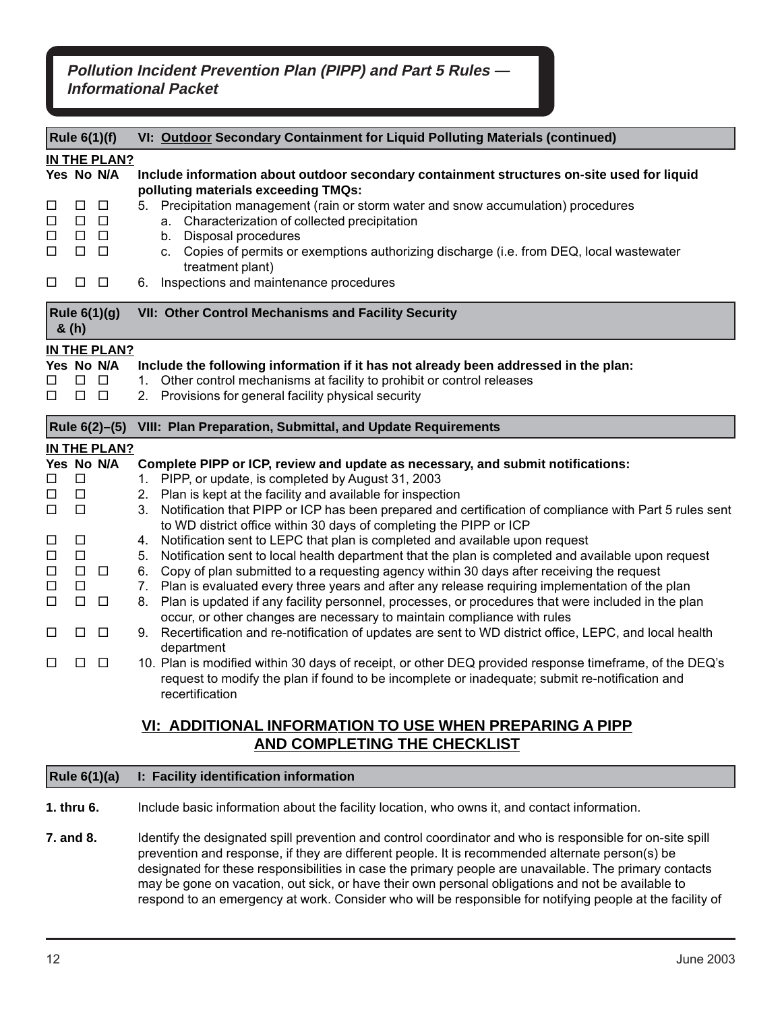| <b>Rule 6(1)(f)</b>                                                         |                                                                                                   |                                          | VI: Outdoor Secondary Containment for Liquid Polluting Materials (continued)                                                                                                                                                                                                                                                                                                                                                                                         |  |  |
|-----------------------------------------------------------------------------|---------------------------------------------------------------------------------------------------|------------------------------------------|----------------------------------------------------------------------------------------------------------------------------------------------------------------------------------------------------------------------------------------------------------------------------------------------------------------------------------------------------------------------------------------------------------------------------------------------------------------------|--|--|
| IN THE PLAN?                                                                |                                                                                                   |                                          |                                                                                                                                                                                                                                                                                                                                                                                                                                                                      |  |  |
| ⊔<br>□<br>□<br>□<br>□                                                       | $\Box$<br>$\begin{array}{ccc} \square & \square \end{array}$<br>$\Box$<br>$\Box$ $\Box$<br>$\Box$ | Yes No N/A<br>$\Box$<br>$\Box$<br>$\Box$ | Include information about outdoor secondary containment structures on-site used for liquid<br>polluting materials exceeding TMQs:<br>5. Precipitation management (rain or storm water and snow accumulation) procedures<br>a. Characterization of collected precipitation<br>b. Disposal procedures<br>c. Copies of permits or exemptions authorizing discharge (i.e. from DEQ, local wastewater<br>treatment plant)<br>Inspections and maintenance procedures<br>6. |  |  |
| <b>Rule 6(1)(g)</b><br>& (h)                                                |                                                                                                   |                                          | VII: Other Control Mechanisms and Facility Security                                                                                                                                                                                                                                                                                                                                                                                                                  |  |  |
|                                                                             |                                                                                                   | <b>IN THE PLAN?</b>                      |                                                                                                                                                                                                                                                                                                                                                                                                                                                                      |  |  |
|                                                                             |                                                                                                   | Yes No N/A                               | Include the following information if it has not already been addressed in the plan:                                                                                                                                                                                                                                                                                                                                                                                  |  |  |
| □                                                                           | $\begin{array}{ccc} \square & \square \end{array}$                                                |                                          | 1. Other control mechanisms at facility to prohibit or control releases                                                                                                                                                                                                                                                                                                                                                                                              |  |  |
| □                                                                           | $\Box$ $\Box$                                                                                     |                                          | 2. Provisions for general facility physical security                                                                                                                                                                                                                                                                                                                                                                                                                 |  |  |
| VIII: Plan Preparation, Submittal, and Update Requirements<br>Rule 6(2)-(5) |                                                                                                   |                                          |                                                                                                                                                                                                                                                                                                                                                                                                                                                                      |  |  |
|                                                                             |                                                                                                   |                                          |                                                                                                                                                                                                                                                                                                                                                                                                                                                                      |  |  |
|                                                                             |                                                                                                   | IN THE PLAN?                             |                                                                                                                                                                                                                                                                                                                                                                                                                                                                      |  |  |
|                                                                             |                                                                                                   | Yes No N/A                               | Complete PIPP or ICP, review and update as necessary, and submit notifications:                                                                                                                                                                                                                                                                                                                                                                                      |  |  |
| □                                                                           | □                                                                                                 |                                          | 1. PIPP, or update, is completed by August 31, 2003                                                                                                                                                                                                                                                                                                                                                                                                                  |  |  |
| □                                                                           | $\Box$                                                                                            |                                          | 2. Plan is kept at the facility and available for inspection                                                                                                                                                                                                                                                                                                                                                                                                         |  |  |
| □                                                                           | $\Box$                                                                                            |                                          | 3. Notification that PIPP or ICP has been prepared and certification of compliance with Part 5 rules sent                                                                                                                                                                                                                                                                                                                                                            |  |  |
| □                                                                           | □                                                                                                 |                                          | to WD district office within 30 days of completing the PIPP or ICP<br>4. Notification sent to LEPC that plan is completed and available upon request                                                                                                                                                                                                                                                                                                                 |  |  |
| □                                                                           | $\Box$                                                                                            |                                          | Notification sent to local health department that the plan is completed and available upon request<br>5.                                                                                                                                                                                                                                                                                                                                                             |  |  |
| □                                                                           | $\Box$                                                                                            | $\Box$                                   | 6. Copy of plan submitted to a requesting agency within 30 days after receiving the request                                                                                                                                                                                                                                                                                                                                                                          |  |  |
| □                                                                           | $\Box$                                                                                            |                                          | 7. Plan is evaluated every three years and after any release requiring implementation of the plan                                                                                                                                                                                                                                                                                                                                                                    |  |  |
| □                                                                           | $\Box$                                                                                            | $\Box$                                   | 8. Plan is updated if any facility personnel, processes, or procedures that were included in the plan                                                                                                                                                                                                                                                                                                                                                                |  |  |
|                                                                             |                                                                                                   |                                          | occur, or other changes are necessary to maintain compliance with rules                                                                                                                                                                                                                                                                                                                                                                                              |  |  |
| $\Box$                                                                      | $\Box$                                                                                            | $\Box$                                   | 9. Recertification and re-notification of updates are sent to WD district office, LEPC, and local health                                                                                                                                                                                                                                                                                                                                                             |  |  |
| □                                                                           | □                                                                                                 | $\Box$                                   | department<br>10. Plan is modified within 30 days of receipt, or other DEQ provided response timeframe, of the DEQ's<br>request to modify the plan if found to be incomplete or inadequate; submit re-notification and<br>recertification                                                                                                                                                                                                                            |  |  |
|                                                                             |                                                                                                   |                                          | VI: ADDITIONAL INFORMATION TO USE WHEN PREPARING A PIPP                                                                                                                                                                                                                                                                                                                                                                                                              |  |  |

### **Rule 6(1)(a) I: Facility identification information**

**1. thru 6.** Include basic information about the facility location, who owns it, and contact information.

**7. and 8.** Identify the designated spill prevention and control coordinator and who is responsible for on-site spill prevention and response, if they are different people. It is recommended alternate person(s) be designated for these responsibilities in case the primary people are unavailable. The primary contacts may be gone on vacation, out sick, or have their own personal obligations and not be available to respond to an emergency at work. Consider who will be responsible for notifying people at the facility of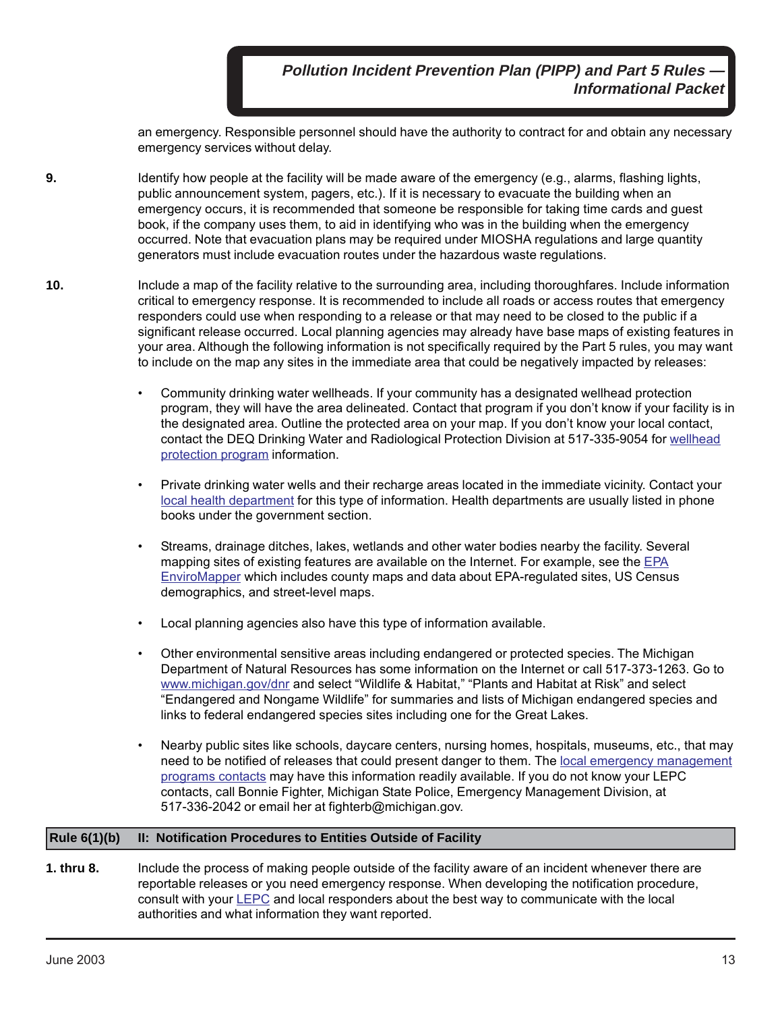an emergency. Responsible personnel should have the authority to contract for and obtain any necessary emergency services without delay.

- **9.** Identify how people at the facility will be made aware of the emergency (e.g., alarms, flashing lights, public announcement system, pagers, etc.). If it is necessary to evacuate the building when an emergency occurs, it is recommended that someone be responsible for taking time cards and guest book, if the company uses them, to aid in identifying who was in the building when the emergency occurred. Note that evacuation plans may be required under MIOSHA regulations and large quantity generators must include evacuation routes under the hazardous waste regulations.
- **10.** Include a map of the facility relative to the surrounding area, including thoroughfares. Include information critical to emergency response. It is recommended to include all roads or access routes that emergency responders could use when responding to a release or that may need to be closed to the public if a significant release occurred. Local planning agencies may already have base maps of existing features in your area. Although the following information is not specifically required by the Part 5 rules, you may want to include on the map any sites in the immediate area that could be negatively impacted by releases:
	- Community drinking water wellheads. If your community has a designated wellhead protection program, they will have the area delineated. Contact that program if you don't know if your facility is in the designated area. Outline the protected area on your map. If you don't know your local contact, contact the DEQ Drinking Water and Radiological Protection Division at 517-335-9054 for [wellhead](http://www.michigan.gov/deq/0%2c1607%2c7-135-3313_3675_3695---%2c00.html) [protection program](http://www.michigan.gov/deq/0%2c1607%2c7-135-3313_3675_3695---%2c00.html) information.
	- Private drinking water wells and their recharge areas located in the immediate vicinity. Contact your [local health department](http://www.michigan.gov/mdhhs/0,5885,7-339--96747--,00.html) for this type of information. Health departments are usually listed in phone books under the government section.
	- Streams, drainage ditches, lakes, wetlands and other water bodies nearby the facility. Several mapping sites of existing features are available on the Internet. For example, see the [EPA](http://www.epa.gov/enviro/html/em/index.html) [EnviroMapper](http://www.epa.gov/enviro/html/em/index.html) which includes county maps and data about EPA-regulated sites, US Census demographics, and street-level maps.
	- Local planning agencies also have this type of information available.
	- Other environmental sensitive areas including endangered or protected species. The Michigan Department of Natural Resources has some information on the Internet or call 517-373-1263. Go to [www.michigan.gov/dnr](http://www.michigan.gov/dnr) and select "Wildlife & Habitat," "Plants and Habitat at Risk" and select "Endangered and Nongame Wildlife" for summaries and lists of Michigan endangered species and links to federal endangered species sites including one for the Great Lakes.
	- Nearby public sites like schools, daycare centers, nursing homes, hospitals, museums, etc., that may need to be notified of releases that could present danger to them. The [local emergency management](http://www.deq.state.mi.us/saratitle3) [programs contacts](http://www.deq.state.mi.us/saratitle3) may have this information readily available. If you do not know your LEPC contacts, call Bonnie Fighter, Michigan State Police, Emergency Management Division, at 517-336-2042 or email her at fighterb@michigan.gov.

#### **Rule 6(1)(b) II: Notification Procedures to Entities Outside of Facility**

**1. thru 8.** Include the process of making people outside of the facility aware of an incident whenever there are reportable releases or you need emergency response. When developing the notification procedure, consult with your  $LEPC$  and local responders about the best way to communicate with the local authorities and what information they want reported.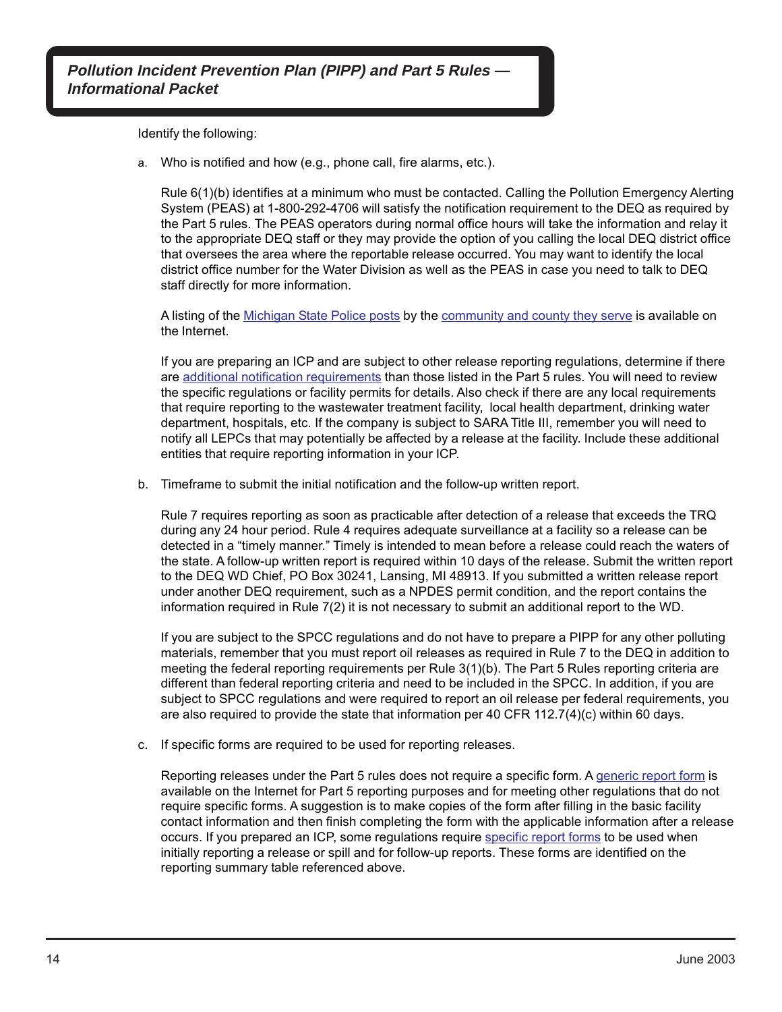Identify the following:

a. Who is notified and how (e.g., phone call, fire alarms, etc.).

Rule 6(1)(b) identifies at a minimum who must be contacted. Calling the Pollution Emergency Alerting System (PEAS) at 1-800-292-4706 will satisfy the notification requirement to the DEQ as required by the Part 5 rules. The PEAS operators during normal office hours will take the information and relay it to the appropriate DEQ staff or they may provide the option of you calling the local DEQ district office that oversees the area where the reportable release occurred. You may want to identify the local district office number for the Water Division as well as the PEAS in case you need to talk to DEQ staff directly for more information.

A listing of the [Michigan State Police posts](http://www.michigan.gov/msp/0,4643,7-123-59471---,00.html) by the [community and county they serve](http://www.michigan.gov/documents/mi_municip_53818_7.pdf) is available on the Internet.

If you are preparing an ICP and are subject to other release reporting regulations, determine if there are [additional notification requirements](http://www.michigan.gov/deq/0%2c1607%2c7-135-3307_3667_5959---%2c00.html) than those listed in the Part 5 rules. You will need to review the specific regulations or facility permits for details. Also check if there are any local requirements that require reporting to the wastewater treatment facility, local health department, drinking water department, hospitals, etc. If the company is subject to SARA Title III, remember you will need to notify all LEPCs that may potentially be affected by a release at the facility. Include these additional entities that require reporting information in your ICP.

b. Timeframe to submit the initial notification and the follow-up written report.

Rule 7 requires reporting as soon as practicable after detection of a release that exceeds the TRQ during any 24 hour period. Rule 4 requires adequate surveillance at a facility so a release can be detected in a "timely manner." Timely is intended to mean before a release could reach the waters of the state. A follow-up written report is required within 10 days of the release. Submit the written report to the DEQ WD Chief, PO Box 30241, Lansing, MI 48913. If you submitted a written release report under another DEQ requirement, such as a NPDES permit condition, and the report contains the information required in Rule 7(2) it is not necessary to submit an additional report to the WD.

If you are subject to the SPCC regulations and do not have to prepare a PIPP for any other polluting materials, remember that you must report oil releases as required in Rule 7 to the DEQ in addition to meeting the federal reporting requirements per Rule 3(1)(b). The Part 5 Rules reporting criteria are different than federal reporting criteria and need to be included in the SPCC. In addition, if you are subject to SPCC regulations and were required to report an oil release per federal requirements, you are also required to provide the state that information per 40 CFR 112.7(4)(c) within 60 days.

c. If specific forms are required to be used for reporting releases.

Reporting releases under the Part 5 rules does not require a specific form. A [generic report form](http://www.michigan.gov/documents/deq/deq-oea-sara-eqp3465e_370548_7.pdf) is available on the Internet for Part 5 reporting purposes and for meeting other regulations that do not require specific forms. A suggestion is to make copies of the form after filling in the basic facility contact information and then finish completing the form with the applicable information after a release occurs. If you prepared an ICP, some regulations require [specific report forms](http://www.michigan.gov/deq/0%2c1607%2c7-135-3307_3667_5959-20341--%2c00.html) to be used when initially reporting a release or spill and for follow-up reports. These forms are identified on the reporting summary table referenced above.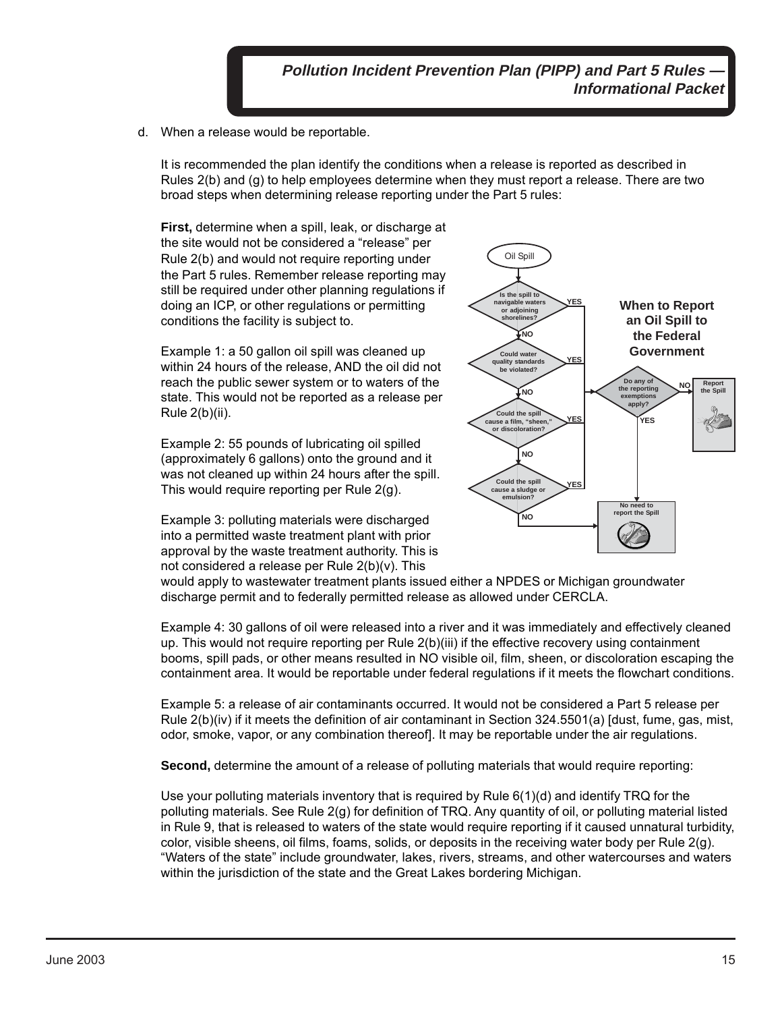d. When a release would be reportable.

It is recommended the plan identify the conditions when a release is reported as described in Rules 2(b) and (g) to help employees determine when they must report a release. There are two broad steps when determining release reporting under the Part 5 rules:

**First,** determine when a spill, leak, or discharge at the site would not be considered a "release" per Rule 2(b) and would not require reporting under the Part 5 rules. Remember release reporting may still be required under other planning regulations if doing an ICP, or other regulations or permitting conditions the facility is subject to.

Example 1: a 50 gallon oil spill was cleaned up within 24 hours of the release, AND the oil did not reach the public sewer system or to waters of the state. This would not be reported as a release per Rule 2(b)(ii).

Example 2: 55 pounds of lubricating oil spilled (approximately 6 gallons) onto the ground and it was not cleaned up within 24 hours after the spill. This would require reporting per Rule 2(g).

Example 3: polluting materials were discharged into a permitted waste treatment plant with prior approval by the waste treatment authority. This is not considered a release per Rule 2(b)(v). This



would apply to wastewater treatment plants issued either a NPDES or Michigan groundwater discharge permit and to federally permitted release as allowed under CERCLA.

Example 4: 30 gallons of oil were released into a river and it was immediately and effectively cleaned up. This would not require reporting per Rule 2(b)(iii) if the effective recovery using containment booms, spill pads, or other means resulted in NO visible oil, film, sheen, or discoloration escaping the containment area. It would be reportable under federal regulations if it meets the flowchart conditions.

Example 5: a release of air contaminants occurred. It would not be considered a Part 5 release per Rule 2(b)(iv) if it meets the definition of air contaminant in Section 324.5501(a) [dust, fume, gas, mist, odor, smoke, vapor, or any combination thereof]. It may be reportable under the air regulations.

**Second,** determine the amount of a release of polluting materials that would require reporting:

Use your polluting materials inventory that is required by Rule 6(1)(d) and identify TRQ for the polluting materials. See Rule 2(g) for definition of TRQ. Any quantity of oil, or polluting material listed in Rule 9, that is released to waters of the state would require reporting if it caused unnatural turbidity, color, visible sheens, oil films, foams, solids, or deposits in the receiving water body per Rule 2(g). "Waters of the state" include groundwater, lakes, rivers, streams, and other watercourses and waters within the jurisdiction of the state and the Great Lakes bordering Michigan.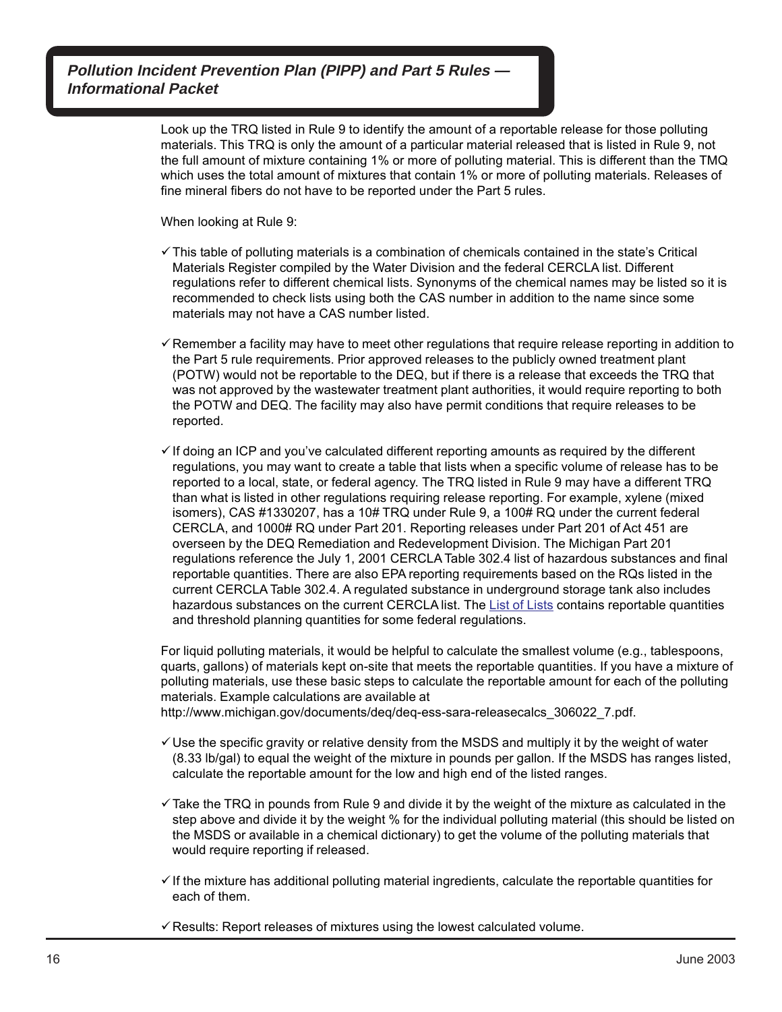> Look up the TRQ listed in Rule 9 to identify the amount of a reportable release for those polluting materials. This TRQ is only the amount of a particular material released that is listed in Rule 9, not the full amount of mixture containing 1% or more of polluting material. This is different than the TMQ which uses the total amount of mixtures that contain 1% or more of polluting materials. Releases of fine mineral fibers do not have to be reported under the Part 5 rules.

When looking at Rule 9:

- $\checkmark$  This table of polluting materials is a combination of chemicals contained in the state's Critical Materials Register compiled by the Water Division and the federal CERCLA list. Different regulations refer to different chemical lists. Synonyms of the chemical names may be listed so it is recommended to check lists using both the CAS number in addition to the name since some materials may not have a CAS number listed.
- $\checkmark$  Remember a facility may have to meet other regulations that require release reporting in addition to the Part 5 rule requirements. Prior approved releases to the publicly owned treatment plant (POTW) would not be reportable to the DEQ, but if there is a release that exceeds the TRQ that was not approved by the wastewater treatment plant authorities, it would require reporting to both the POTW and DEQ. The facility may also have permit conditions that require releases to be reported.
- $\checkmark$  If doing an ICP and you've calculated different reporting amounts as required by the different regulations, you may want to create a table that lists when a specific volume of release has to be reported to a local, state, or federal agency. The TRQ listed in Rule 9 may have a different TRQ than what is listed in other regulations requiring release reporting. For example, xylene (mixed isomers), CAS #1330207, has a 10# TRQ under Rule 9, a 100# RQ under the current federal CERCLA, and 1000# RQ under Part 201. Reporting releases under Part 201 of Act 451 are overseen by the DEQ Remediation and Redevelopment Division. The Michigan Part 201 regulations reference the July 1, 2001 CERCLA Table 302.4 list of hazardous substances and final reportable quantities. There are also EPA reporting requirements based on the RQs listed in the current CERCLA Table 302.4. A regulated substance in underground storage tank also includes hazardous substances on the current CERCLA list. The [List of Lists](http://130.11.53.73/lol/) contains reportable quantities and threshold planning quantities for some federal regulations.

For liquid polluting materials, it would be helpful to calculate the smallest volume (e.g., tablespoons, quarts, gallons) of materials kept on-site that meets the reportable quantities. If you have a mixture of polluting materials, use these basic steps to calculate the reportable amount for each of the polluting materials. Example calculations are available at

http://www.michigan.gov/documents/deq/deq-ess-sara-releasecalcs\_306022\_7.pdf.

- $\checkmark$  Use the specific gravity or relative density from the MSDS and multiply it by the weight of water (8.33 lb/gal) to equal the weight of the mixture in pounds per gallon. If the MSDS has ranges listed, calculate the reportable amount for the low and high end of the listed ranges.
- $\checkmark$  Take the TRQ in pounds from Rule 9 and divide it by the weight of the mixture as calculated in the step above and divide it by the weight % for the individual polluting material (this should be listed on the MSDS or available in a chemical dictionary) to get the volume of the polluting materials that would require reporting if released.
- $\checkmark$  If the mixture has additional polluting material ingredients, calculate the reportable quantities for each of them.
- $\checkmark$  Results: Report releases of mixtures using the lowest calculated volume.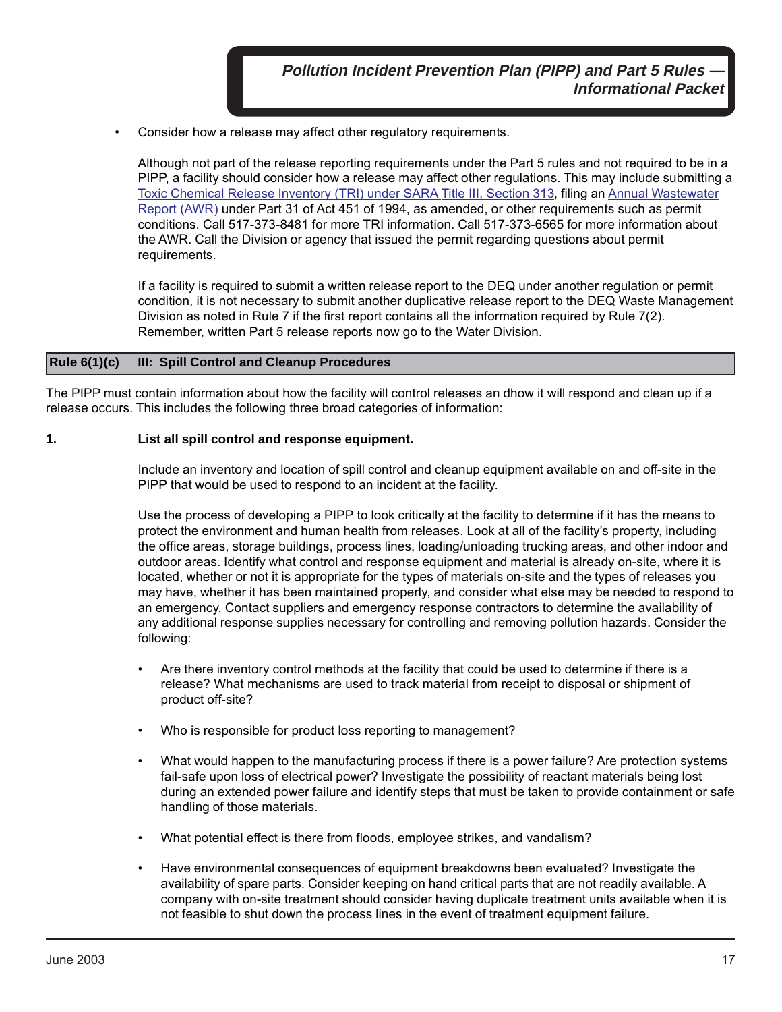• Consider how a release may affect other regulatory requirements.

Although not part of the release reporting requirements under the Part 5 rules and not required to be in a PIPP, a facility should consider how a release may affect other regulations. This may include submitting a [Toxic Chemical Release Inventory \(TRI\) under SARA](http://www.michigan.gov/deq/0%2c1607%2c7-135-3307_3667_4138---%2c00.html) Title III, Section 313, filing an [Annual Wastewater](http://www.michigan.gov/deq/0%2c1607%2c7-135-3307_3667_4136---%2c00.html) [Report \(AWR\)](http://www.michigan.gov/deq/0%2c1607%2c7-135-3307_3667_4136---%2c00.html) under Part 31 of Act 451 of 1994, as amended, or other requirements such as permit conditions. Call 517-373-8481 for more TRI information. Call 517-373-6565 for more information about the AWR. Call the Division or agency that issued the permit regarding questions about permit requirements.

If a facility is required to submit a written release report to the DEQ under another regulation or permit condition, it is not necessary to submit another duplicative release report to the DEQ Waste Management Division as noted in Rule 7 if the first report contains all the information required by Rule 7(2). Remember, written Part 5 release reports now go to the Water Division.

#### **Rule 6(1)(c) III: Spill Control and Cleanup Procedures**

The PIPP must contain information about how the facility will control releases an dhow it will respond and clean up if a release occurs. This includes the following three broad categories of information:

#### **1. List all spill control and response equipment.**

Include an inventory and location of spill control and cleanup equipment available on and off-site in the PIPP that would be used to respond to an incident at the facility.

Use the process of developing a PIPP to look critically at the facility to determine if it has the means to protect the environment and human health from releases. Look at all of the facility's property, including the office areas, storage buildings, process lines, loading/unloading trucking areas, and other indoor and outdoor areas. Identify what control and response equipment and material is already on-site, where it is located, whether or not it is appropriate for the types of materials on-site and the types of releases you may have, whether it has been maintained properly, and consider what else may be needed to respond to an emergency. Contact suppliers and emergency response contractors to determine the availability of any additional response supplies necessary for controlling and removing pollution hazards. Consider the following:

- Are there inventory control methods at the facility that could be used to determine if there is a release? What mechanisms are used to track material from receipt to disposal or shipment of product off-site?
- Who is responsible for product loss reporting to management?
- What would happen to the manufacturing process if there is a power failure? Are protection systems fail-safe upon loss of electrical power? Investigate the possibility of reactant materials being lost during an extended power failure and identify steps that must be taken to provide containment or safe handling of those materials.
- What potential effect is there from floods, employee strikes, and vandalism?
- Have environmental consequences of equipment breakdowns been evaluated? Investigate the availability of spare parts. Consider keeping on hand critical parts that are not readily available. A company with on-site treatment should consider having duplicate treatment units available when it is not feasible to shut down the process lines in the event of treatment equipment failure.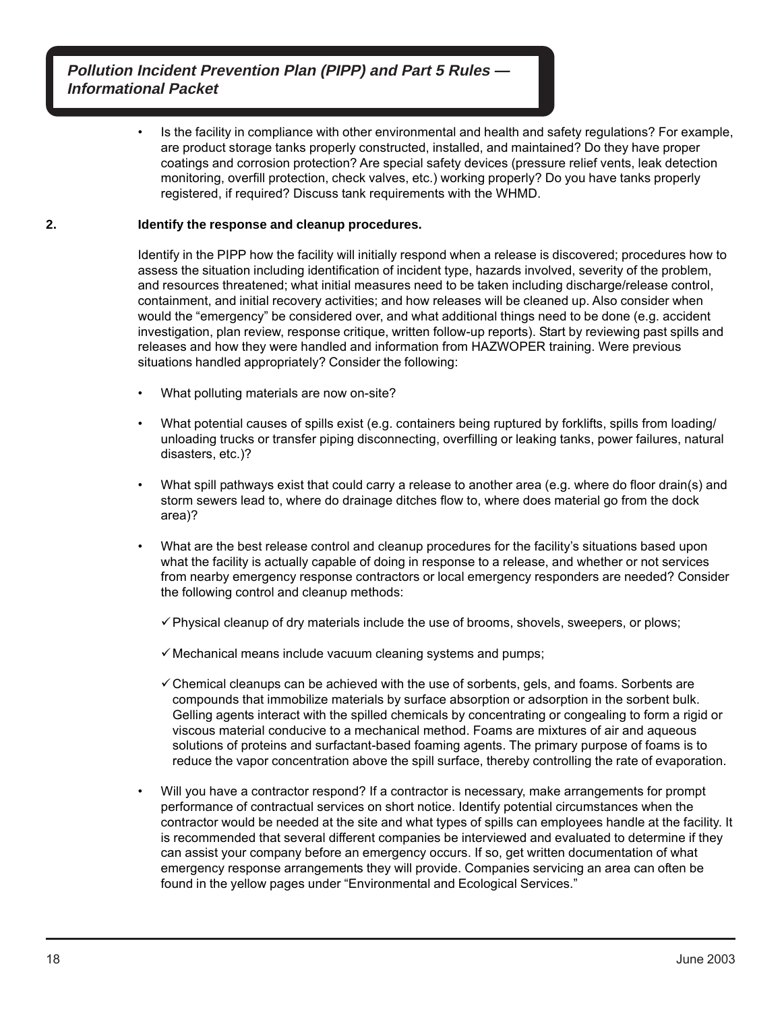> • Is the facility in compliance with other environmental and health and safety regulations? For example, are product storage tanks properly constructed, installed, and maintained? Do they have proper coatings and corrosion protection? Are special safety devices (pressure relief vents, leak detection monitoring, overfill protection, check valves, etc.) working properly? Do you have tanks properly registered, if required? Discuss tank requirements with the WHMD.

#### **2. Identify the response and cleanup procedures.**

Identify in the PIPP how the facility will initially respond when a release is discovered; procedures how to assess the situation including identification of incident type, hazards involved, severity of the problem, and resources threatened; what initial measures need to be taken including discharge/release control, containment, and initial recovery activities; and how releases will be cleaned up. Also consider when would the "emergency" be considered over, and what additional things need to be done (e.g. accident investigation, plan review, response critique, written follow-up reports). Start by reviewing past spills and releases and how they were handled and information from HAZWOPER training. Were previous situations handled appropriately? Consider the following:

- What polluting materials are now on-site?
- What potential causes of spills exist (e.g. containers being ruptured by forklifts, spills from loading/ unloading trucks or transfer piping disconnecting, overfilling or leaking tanks, power failures, natural disasters, etc.)?
- What spill pathways exist that could carry a release to another area (e.g. where do floor drain(s) and storm sewers lead to, where do drainage ditches flow to, where does material go from the dock area)?
- What are the best release control and cleanup procedures for the facility's situations based upon what the facility is actually capable of doing in response to a release, and whether or not services from nearby emergency response contractors or local emergency responders are needed? Consider the following control and cleanup methods:
	- $\checkmark$  Physical cleanup of dry materials include the use of brooms, shovels, sweepers, or plows;
	- $\checkmark$  Mechanical means include vacuum cleaning systems and pumps;
	- $\checkmark$  Chemical cleanups can be achieved with the use of sorbents, gels, and foams. Sorbents are compounds that immobilize materials by surface absorption or adsorption in the sorbent bulk. Gelling agents interact with the spilled chemicals by concentrating or congealing to form a rigid or viscous material conducive to a mechanical method. Foams are mixtures of air and aqueous solutions of proteins and surfactant-based foaming agents. The primary purpose of foams is to reduce the vapor concentration above the spill surface, thereby controlling the rate of evaporation.
- Will you have a contractor respond? If a contractor is necessary, make arrangements for prompt performance of contractual services on short notice. Identify potential circumstances when the contractor would be needed at the site and what types of spills can employees handle at the facility. It is recommended that several different companies be interviewed and evaluated to determine if they can assist your company before an emergency occurs. If so, get written documentation of what emergency response arrangements they will provide. Companies servicing an area can often be found in the yellow pages under "Environmental and Ecological Services."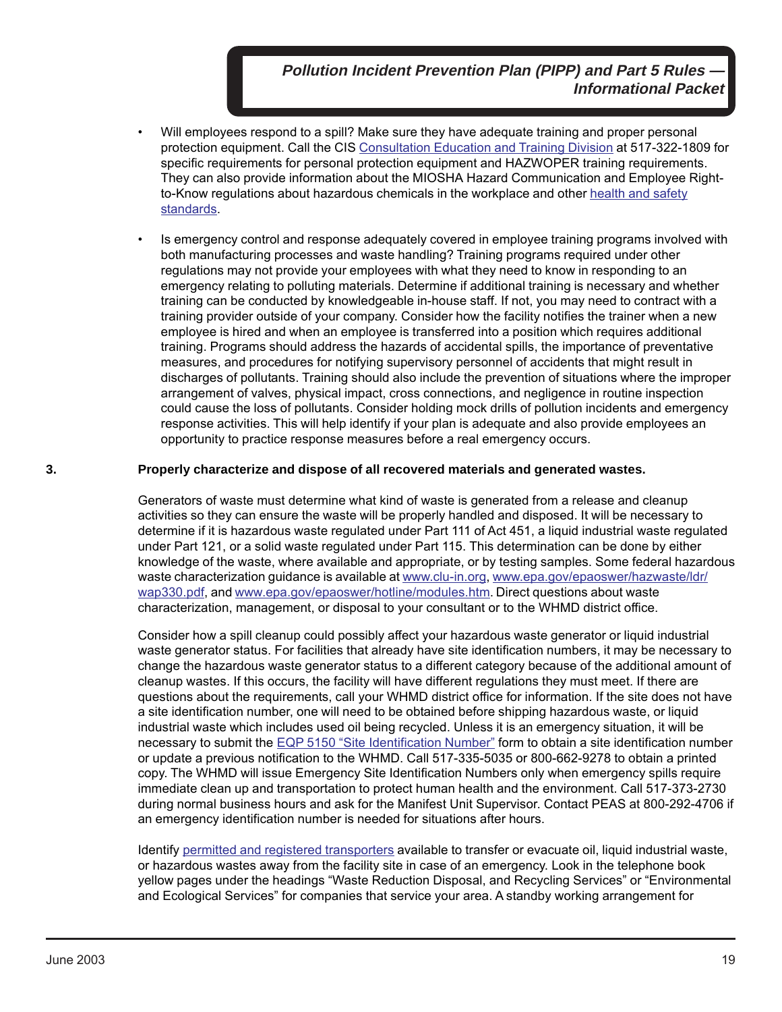- Will employees respond to a spill? Make sure they have adequate training and proper personal protection equipment. Call the CIS [Consultation Education and Training Division](http://www.michigan.gov/lara/0,4601,7-154-11407_15317---,00.html) at 517-322-1809 for specific requirements for personal protection equipment and HAZWOPER training requirements. They can also provide information about the MIOSHA Hazard Communication and Employee Right[to-Know regulations about hazardous chemicals in the workplace and other health and safety](http://www.michigan.gov/lara/0,4601,7-154-11407---,00.html) standards.
- Is emergency control and response adequately covered in employee training programs involved with both manufacturing processes and waste handling? Training programs required under other regulations may not provide your employees with what they need to know in responding to an emergency relating to polluting materials. Determine if additional training is necessary and whether training can be conducted by knowledgeable in-house staff. If not, you may need to contract with a training provider outside of your company. Consider how the facility notifies the trainer when a new employee is hired and when an employee is transferred into a position which requires additional training. Programs should address the hazards of accidental spills, the importance of preventative measures, and procedures for notifying supervisory personnel of accidents that might result in discharges of pollutants. Training should also include the prevention of situations where the improper arrangement of valves, physical impact, cross connections, and negligence in routine inspection could cause the loss of pollutants. Consider holding mock drills of pollution incidents and emergency response activities. This will help identify if your plan is adequate and also provide employees an opportunity to practice response measures before a real emergency occurs.

#### **3. Properly characterize and dispose of all recovered materials and generated wastes.**

Generators of waste must determine what kind of waste is generated from a release and cleanup activities so they can ensure the waste will be properly handled and disposed. It will be necessary to determine if it is hazardous waste regulated under Part 111 of Act 451, a liquid industrial waste regulated under Part 121, or a solid waste regulated under Part 115. This determination can be done by either knowledge of the waste, where available and appropriate, or by testing samples. Some federal hazardous waste characterization guidance is available at [www.clu-in.org,](http://www.clu-in.org) [www.epa.gov/epaoswer/hazwaste/ldr/](http://www.epa.gov/epaoswer/hazwaste/ldr/wap330.pdf) [wap330.pdf,](http://www.epa.gov/epaoswer/hazwaste/ldr/wap330.pdf) and [www.epa.gov/epaoswer/hotline/modules.htm.](http://www.epa.gov/epaoswer/hotline/modules.htm) Direct questions about waste characterization, management, or disposal to your consultant or to the WHMD district office.

Consider how a spill cleanup could possibly affect your hazardous waste generator or liquid industrial waste generator status. For facilities that already have site identification numbers, it may be necessary to change the hazardous waste generator status to a different category because of the additional amount of cleanup wastes. If this occurs, the facility will have different regulations they must meet. If there are questions about the requirements, call your WHMD district office for information. If the site does not have a site identification number, one will need to be obtained before shipping hazardous waste, or liquid industrial waste which includes used oil being recycled. Unless it is an emergency situation, it will be necessary to submit the [EQP 5150 "Site Identification Number"](http://www.michigan.gov/deq/0%2c1607%2c7-135-3312_4118_4240-9198--%2c00.html) form to obtain a site identification number or update a previous notification to the WHMD. Call 517-335-5035 or 800-662-9278 to obtain a printed copy. The WHMD will issue Emergency Site Identification Numbers only when emergency spills require immediate clean up and transportation to protect human health and the environment. Call 517-373-2730 during normal business hours and ask for the Manifest Unit Supervisor. Contact PEAS at 800-292-4706 if an emergency identification number is needed for situations after hours.

Identify [permitted and registered transporters](http://www.michigan.gov/deq/0,4561,7-135-3312_7235---,00.html) available to transfer or evacuate oil, liquid industrial waste, or hazardous wastes away from the facility site in case of an emergency. Look in the telephone book yellow pages under the headings "Waste Reduction Disposal, and Recycling Services" or "Environmental and Ecological Services" for companies that service your area. A standby working arrangement for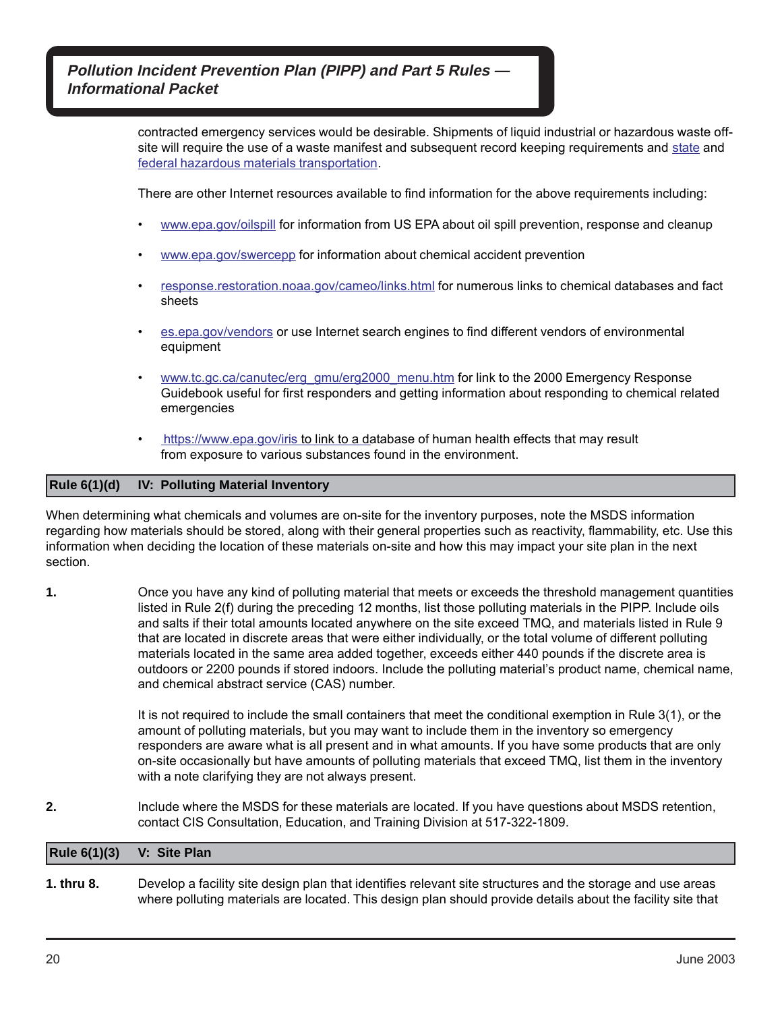> contracted emergency services would be desirable. Shipments of liquid industrial or hazardous waste offsite will require the use of a waste manifest and subsequent record keeping requirements and [state](http://www.michigan.gov/msp/1%2c1607%2c7-123-1593_3536_6249---%2c00.html) and [federal hazardous materials transportation.](https://www.fmcsa.dot.gov/regulations/hazardous-materials/how-comply-federal-hazardous-materials-regulations)

There are other Internet resources available to find information for the above requirements including:

- [www.epa.gov/oilspill](http://www.epa.gov/oilspill) for information from US EPA about oil spill prevention, response and cleanup
- [www.epa.gov/swercepp](http://www.epa.gov/swercepp) for information about chemical accident prevention
- [response.restoration.noaa.gov/cameo/links.html](http://response.restoration.noaa.gov/cameo/links.html) for numerous links to chemical databases and fact sheets
- [es.epa.gov/vendors](http://es.epa.gov/vendors) or use Internet search engines to find different vendors of environmental equipment
- [www.tc.gc.ca/canutec/erg\\_gmu/erg2000\\_menu.htm](http://www.tc.gc.ca/canutec/erg_gmu/erg2000_menu.htm) for link to the 2000 Emergency Response Guidebook useful for first responders and getting information about responding to chemical related emergencies
- [https://www.epa.gov/iris to link to a da](https://www.epa.gov/iris)tabase of human health effects that may result from exposure to various substances found in the environment.

#### **Rule 6(1)(d) IV: Polluting Material Inventory**

When determining what chemicals and volumes are on-site for the inventory purposes, note the MSDS information regarding how materials should be stored, along with their general properties such as reactivity, flammability, etc. Use this information when deciding the location of these materials on-site and how this may impact your site plan in the next section.

**1.** Once you have any kind of polluting material that meets or exceeds the threshold management quantities listed in Rule 2(f) during the preceding 12 months, list those polluting materials in the PIPP. Include oils and salts if their total amounts located anywhere on the site exceed TMQ, and materials listed in Rule 9 that are located in discrete areas that were either individually, or the total volume of different polluting materials located in the same area added together, exceeds either 440 pounds if the discrete area is outdoors or 2200 pounds if stored indoors. Include the polluting material's product name, chemical name, and chemical abstract service (CAS) number.

> It is not required to include the small containers that meet the conditional exemption in Rule 3(1), or the amount of polluting materials, but you may want to include them in the inventory so emergency responders are aware what is all present and in what amounts. If you have some products that are only on-site occasionally but have amounts of polluting materials that exceed TMQ, list them in the inventory with a note clarifying they are not always present.

**2.** Include where the MSDS for these materials are located. If you have questions about MSDS retention, contact CIS Consultation, Education, and Training Division at 517-322-1809.

|            | Rule $6(1)(3)$ V: Site Plan                                                                                 |
|------------|-------------------------------------------------------------------------------------------------------------|
| 1. thru 8. | Develop a facility site design plan that identifies relevant site structures and the storage and use areas  |
|            | where polluting materials are located. This design plan should provide details about the facility site that |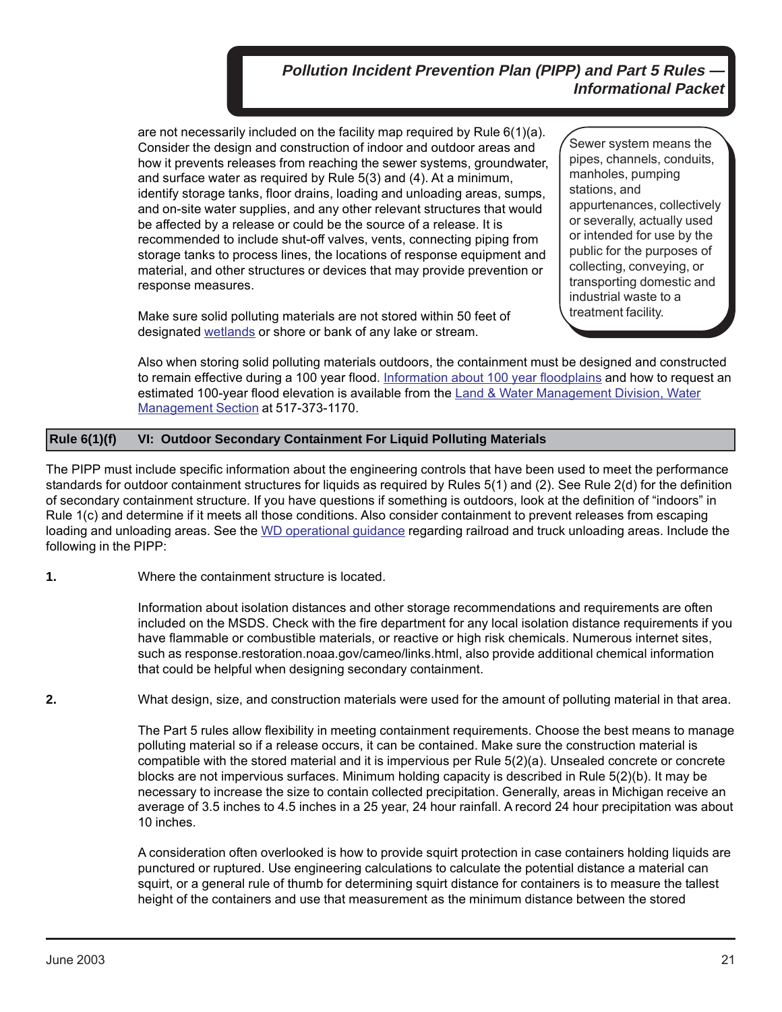are not necessarily included on the facility map required by Rule 6(1)(a). Consider the design and construction of indoor and outdoor areas and how it prevents releases from reaching the sewer systems, groundwater, and surface water as required by Rule 5(3) and (4). At a minimum, identify storage tanks, floor drains, loading and unloading areas, sumps, and on-site water supplies, and any other relevant structures that would be affected by a release or could be the source of a release. It is recommended to include shut-off valves, vents, connecting piping from storage tanks to process lines, the locations of response equipment and material, and other structures or devices that may provide prevention or response measures.

Make sure solid polluting materials are not stored within 50 feet of designated [wetlands](http://www.michigan.gov/deq/0%2c1607%2c7-135-3313_3687---%2c00.html) or shore or bank of any lake or stream.

Sewer system means the pipes, channels, conduits, manholes, pumping stations, and appurtenances, collectively or severally, actually used or intended for use by the public for the purposes of collecting, conveying, or transporting domestic and industrial waste to a treatment facility.

Also when storing solid polluting materials outdoors, the containment must be designed and constructed to remain effective during a 100 year flood. [Information about 100 year floodplains](http://www.michigan.gov/deq/0%2c1607%2c7-135-3313_3684_3725---%2c00.html) and how to request an [estimated 100-year flood elevation is available from the Land & Water Management Division, Water](http://www.michigan.gov/deq/0,4561,7-135-3313_3684_3724---,00.html) Management Section at 517-373-1170.

#### **Rule 6(1)(f) VI: Outdoor Secondary Containment For Liquid Polluting Materials**

The PIPP must include specific information about the engineering controls that have been used to meet the performance standards for outdoor containment structures for liquids as required by Rules 5(1) and (2). See Rule 2(d) for the definition of secondary containment structure. If you have questions if something is outdoors, look at the definition of "indoors" in Rule 1(c) and determine if it meets all those conditions. Also consider containment to prevent releases from escaping loading and unloading areas. See the [WD operational guidance](http://www.michigan.gov/deq/0%2c1607%2c7-135-3313_23420-69924--%2c00.html) regarding railroad and truck unloading areas. Include the following in the PIPP:

**1.** Where the containment structure is located.

Information about isolation distances and other storage recommendations and requirements are often included on the MSDS. Check with the fire department for any local isolation distance requirements if you have flammable or combustible materials, or reactive or high risk chemicals. Numerous internet sites, such as response.restoration.noaa.gov/cameo/links.html, also provide additional chemical information that could be helpful when designing secondary containment.

**2.** What design, size, and construction materials were used for the amount of polluting material in that area.

The Part 5 rules allow flexibility in meeting containment requirements. Choose the best means to manage polluting material so if a release occurs, it can be contained. Make sure the construction material is compatible with the stored material and it is impervious per Rule 5(2)(a). Unsealed concrete or concrete blocks are not impervious surfaces. Minimum holding capacity is described in Rule 5(2)(b). It may be necessary to increase the size to contain collected precipitation. Generally, areas in Michigan receive an average of 3.5 inches to 4.5 inches in a 25 year, 24 hour rainfall. A record 24 hour precipitation was about 10 inches.

A consideration often overlooked is how to provide squirt protection in case containers holding liquids are punctured or ruptured. Use engineering calculations to calculate the potential distance a material can squirt, or a general rule of thumb for determining squirt distance for containers is to measure the tallest height of the containers and use that measurement as the minimum distance between the stored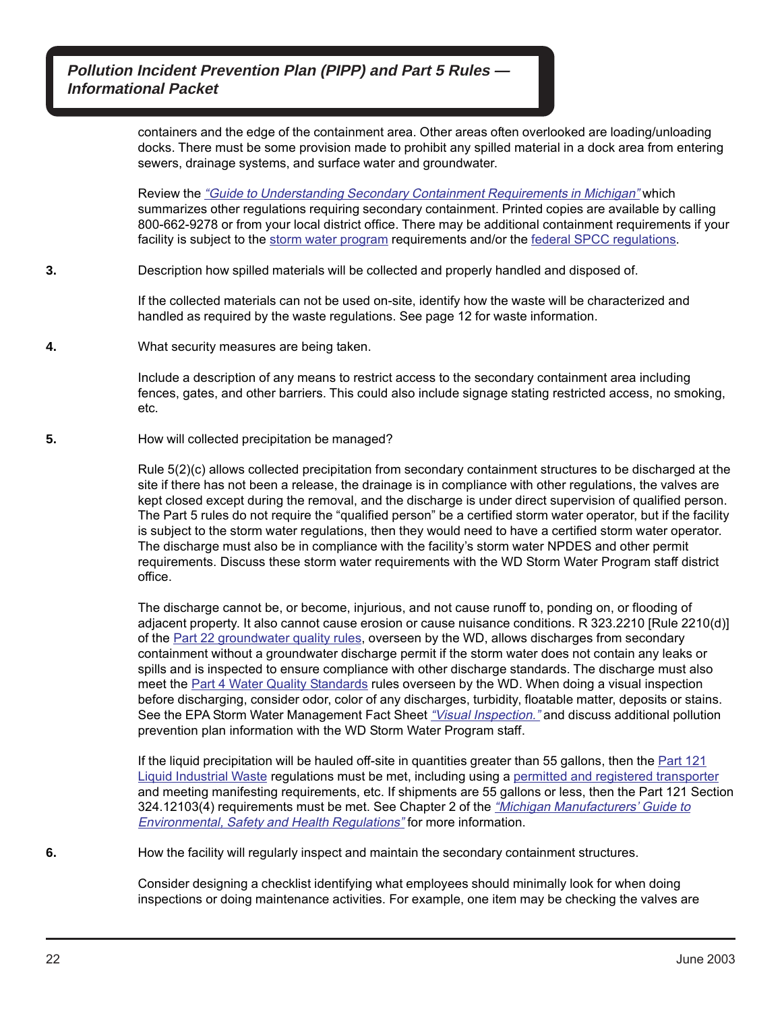> containers and the edge of the containment area. Other areas often overlooked are loading/unloading docks. There must be some provision made to prohibit any spilled material in a dock area from entering sewers, drainage systems, and surface water and groundwater.

> Review the ["Guide to Understanding Secondary Containment Requirements in Michigan"](http://www.michigan.gov/deq/1%2c1607%2c7-135-3312_4118_4240-8983--%2c00.html) which summarizes other regulations requiring secondary containment. Printed copies are available by calling 800-662-9278 or from your local district office. There may be additional containment requirements if your facility is subject to the [storm water program](http://www.michigan.gov/deq/0%2c1607%2c7-135-3313_3682_3716---%2c00.html) requirements and/or the [federal SPCC regulations.](http://www.epa.gov/oilspill/)

**3.** Description how spilled materials will be collected and properly handled and disposed of.

If the collected materials can not be used on-site, identify how the waste will be characterized and handled as required by the waste regulations. See page 12 for waste information.

**4.** What security measures are being taken.

Include a description of any means to restrict access to the secondary containment area including fences, gates, and other barriers. This could also include signage stating restricted access, no smoking, etc.

**5.** How will collected precipitation be managed?

Rule 5(2)(c) allows collected precipitation from secondary containment structures to be discharged at the site if there has not been a release, the drainage is in compliance with other regulations, the valves are kept closed except during the removal, and the discharge is under direct supervision of qualified person. The Part 5 rules do not require the "qualified person" be a certified storm water operator, but if the facility is subject to the storm water regulations, then they would need to have a certified storm water operator. The discharge must also be in compliance with the facility's storm water NPDES and other permit requirements. Discuss these storm water requirements with the WD Storm Water Program staff district office.

The discharge cannot be, or become, injurious, and not cause runoff to, ponding on, or flooding of adjacent property. It also cannot cause erosion or cause nuisance conditions. R 323.2210 [Rule 2210(d)] of the [Part 22 groundwater quality rules,](http://www.michigan.gov/deq/0%2c1607%2c7-135-3312_4117-9765--%2c00.html) overseen by the WD, allows discharges from secondary containment without a groundwater discharge permit if the storm water does not contain any leaks or spills and is inspected to ensure compliance with other discharge standards. The discharge must also meet the [Part 4 Water Quality Standards](http://www.michigan.gov/deq/0%2c1607%2c7-135-3313_3682_3713-10416--%2c00.html) rules overseen by the WD. When doing a visual inspection before discharging, consider odor, color of any discharges, turbidity, floatable matter, deposits or stains. See the EPA Storm Water Management Fact Sheet ["Visual Inspection."](http://www.epa.gov/npdes/pubs/visnspct.pdf) and discuss additional pollution prevention plan information with the WD Storm Water Program staff.

If the liquid precipitation will be hauled off-site in quantities greater than 55 gallons, then the [Part 121](http://www.michiganlegislature.org/mileg.asp?page=getObject&objName=mcl-451-1994-II-3-121&highlight=) [Liquid Industrial Waste](http://www.michiganlegislature.org/mileg.asp?page=getObject&objName=mcl-451-1994-II-3-121&highlight=) regulations must be met, including using a [permitted and registered transporter](http://www.michigan.gov/deq/0,4561,7-135-3312_7235---,00.html) and meeting manifesting requirements, etc. If shipments are 55 gallons or less, then the Part 121 Section [324.12103\(4\) requirements must be met. See Chapter 2 of the](http://www.michigan.gov/deq/0,4561,7-135-3308-15820--,00.html) "Michigan Manufacturers' Guide to **Environmental, Safety and Health Regulations**" for more information.

**6.** How the facility will regularly inspect and maintain the secondary containment structures.

Consider designing a checklist identifying what employees should minimally look for when doing inspections or doing maintenance activities. For example, one item may be checking the valves are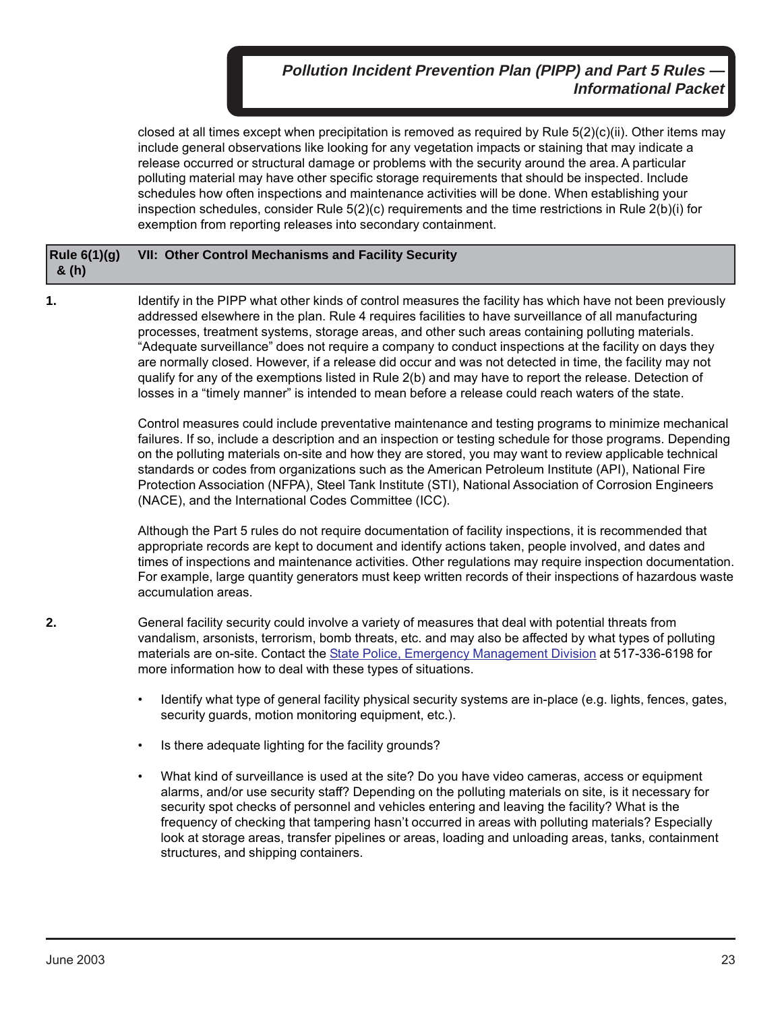closed at all times except when precipitation is removed as required by Rule 5(2)(c)(ii). Other items may include general observations like looking for any vegetation impacts or staining that may indicate a release occurred or structural damage or problems with the security around the area. A particular polluting material may have other specific storage requirements that should be inspected. Include schedules how often inspections and maintenance activities will be done. When establishing your inspection schedules, consider Rule 5(2)(c) requirements and the time restrictions in Rule 2(b)(i) for exemption from reporting releases into secondary containment.

#### **Rule 6(1)(g) VII: Other Control Mechanisms and Facility Security & (h)**

**1.** Identify in the PIPP what other kinds of control measures the facility has which have not been previously addressed elsewhere in the plan. Rule 4 requires facilities to have surveillance of all manufacturing processes, treatment systems, storage areas, and other such areas containing polluting materials. "Adequate surveillance" does not require a company to conduct inspections at the facility on days they are normally closed. However, if a release did occur and was not detected in time, the facility may not qualify for any of the exemptions listed in Rule 2(b) and may have to report the release. Detection of losses in a "timely manner" is intended to mean before a release could reach waters of the state.

> Control measures could include preventative maintenance and testing programs to minimize mechanical failures. If so, include a description and an inspection or testing schedule for those programs. Depending on the polluting materials on-site and how they are stored, you may want to review applicable technical standards or codes from organizations such as the American Petroleum Institute (API), National Fire Protection Association (NFPA), Steel Tank Institute (STI), National Association of Corrosion Engineers (NACE), and the International Codes Committee (ICC).

> Although the Part 5 rules do not require documentation of facility inspections, it is recommended that appropriate records are kept to document and identify actions taken, people involved, and dates and times of inspections and maintenance activities. Other regulations may require inspection documentation. For example, large quantity generators must keep written records of their inspections of hazardous waste accumulation areas.

**2.** General facility security could involve a variety of measures that deal with potential threats from vandalism, arsonists, terrorism, bomb threats, etc. and may also be affected by what types of polluting materials are on-site. Contact the [State Police, Emergency Management Division](http://www.michigan.gov/msp/0,4643,7-123-72297_60152---,00.html) at 517-336-6198 for more information how to deal with these types of situations.

- Identify what type of general facility physical security systems are in-place (e.g. lights, fences, gates, security guards, motion monitoring equipment, etc.).
- Is there adequate lighting for the facility grounds?
- What kind of surveillance is used at the site? Do you have video cameras, access or equipment alarms, and/or use security staff? Depending on the polluting materials on site, is it necessary for security spot checks of personnel and vehicles entering and leaving the facility? What is the frequency of checking that tampering hasn't occurred in areas with polluting materials? Especially look at storage areas, transfer pipelines or areas, loading and unloading areas, tanks, containment structures, and shipping containers.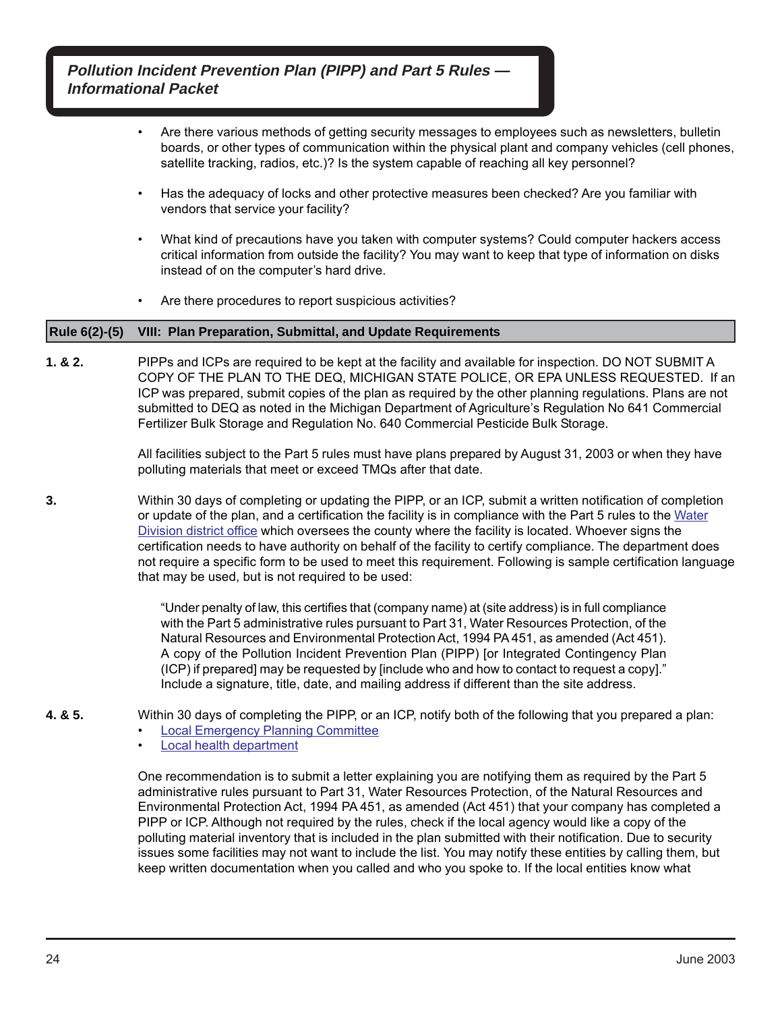- Are there various methods of getting security messages to employees such as newsletters, bulletin boards, or other types of communication within the physical plant and company vehicles (cell phones, satellite tracking, radios, etc.)? Is the system capable of reaching all key personnel?
- Has the adequacy of locks and other protective measures been checked? Are you familiar with vendors that service your facility?
- What kind of precautions have you taken with computer systems? Could computer hackers access critical information from outside the facility? You may want to keep that type of information on disks instead of on the computer's hard drive.
- Are there procedures to report suspicious activities?

#### **Rule 6(2)-(5) VIII: Plan Preparation, Submittal, and Update Requirements**

**1. & 2.** PIPPs and ICPs are required to be kept at the facility and available for inspection. DO NOT SUBMIT A COPY OF THE PLAN TO THE DEQ, MICHIGAN STATE POLICE, OR EPA UNLESS REQUESTED. If an ICP was prepared, submit copies of the plan as required by the other planning regulations. Plans are not submitted to DEQ as noted in the Michigan Department of Agriculture's Regulation No 641 Commercial Fertilizer Bulk Storage and Regulation No. 640 Commercial Pesticide Bulk Storage.

> All facilities subject to the Part 5 rules must have plans prepared by August 31, 2003 or when they have polluting materials that meet or exceed TMQs after that date.

**3.** Within 30 days of completing or updating the PIPP, or an ICP, submit a written notification of completion or update of the plan, and a certification the facility is in compliance with the Part 5 rules to the [Water](http://www.michigan.gov/documents/deq/wrd-pipp-staff_344829_7.pdf) [Division district office](http://www.michigan.gov/documents/deq/wrd-pipp-staff_344829_7.pdf) which oversees the county where the facility is located. Whoever signs the certification needs to have authority on behalf of the facility to certify compliance. The department does not require a specific form to be used to meet this requirement. Following is sample certification language that may be used, but is not required to be used:

> "Under penalty of law, this certifies that (company name) at (site address) is in full compliance with the Part 5 administrative rules pursuant to Part 31, Water Resources Protection, of the Natural Resources and Environmental Protection Act, 1994 PA 451, as amended (Act 451). A copy of the Pollution Incident Prevention Plan (PIPP) [or Integrated Contingency Plan (ICP) if prepared] may be requested by [include who and how to contact to request a copy]." Include a signature, title, date, and mailing address if different than the site address.

- **4. & 5.** Within 30 days of completing the PIPP, or an ICP, notify both of the following that you prepared a plan:
	- **[Local Emergency Planning Committee](http://www.deq.state.mi.us/saratitle3)**
	- [Local health department](http://www.michigan.gov/mdhhs/0,5885,7-339--96747--,00.html)

One recommendation is to submit a letter explaining you are notifying them as required by the Part 5 administrative rules pursuant to Part 31, Water Resources Protection, of the Natural Resources and Environmental Protection Act, 1994 PA 451, as amended (Act 451) that your company has completed a PIPP or ICP. Although not required by the rules, check if the local agency would like a copy of the polluting material inventory that is included in the plan submitted with their notification. Due to security issues some facilities may not want to include the list. You may notify these entities by calling them, but keep written documentation when you called and who you spoke to. If the local entities know what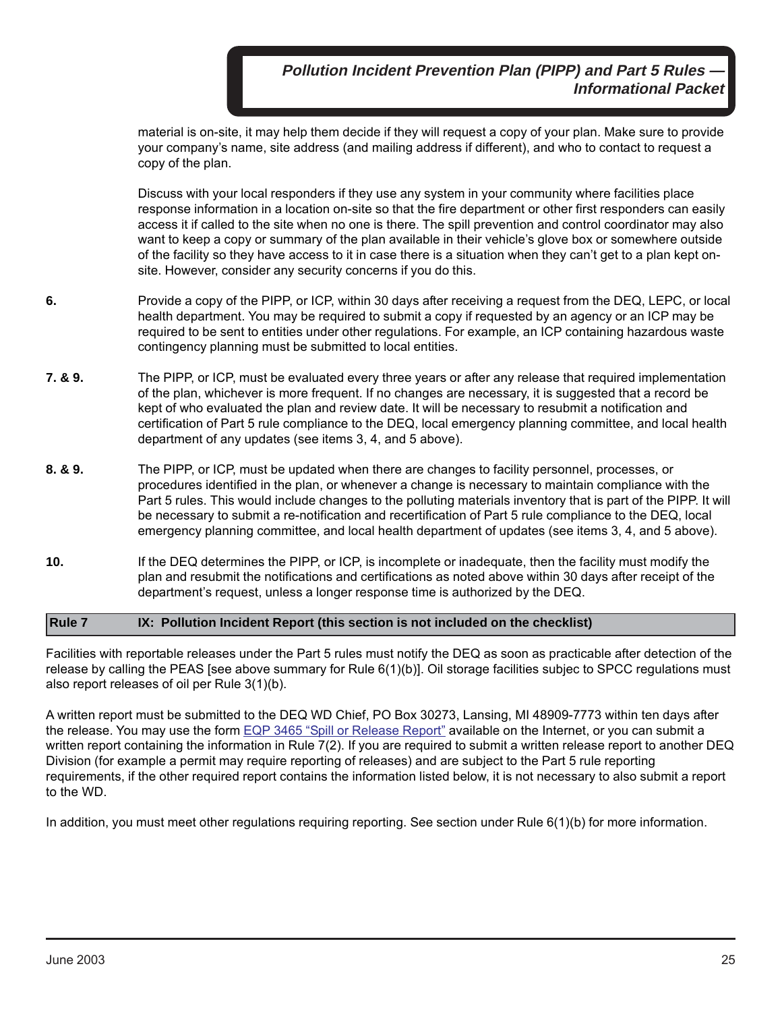material is on-site, it may help them decide if they will request a copy of your plan. Make sure to provide your company's name, site address (and mailing address if different), and who to contact to request a copy of the plan.

Discuss with your local responders if they use any system in your community where facilities place response information in a location on-site so that the fire department or other first responders can easily access it if called to the site when no one is there. The spill prevention and control coordinator may also want to keep a copy or summary of the plan available in their vehicle's glove box or somewhere outside of the facility so they have access to it in case there is a situation when they can't get to a plan kept onsite. However, consider any security concerns if you do this.

- **6.** Provide a copy of the PIPP, or ICP, within 30 days after receiving a request from the DEQ, LEPC, or local health department. You may be required to submit a copy if requested by an agency or an ICP may be required to be sent to entities under other regulations. For example, an ICP containing hazardous waste contingency planning must be submitted to local entities.
- **7. & 9.** The PIPP, or ICP, must be evaluated every three years or after any release that required implementation of the plan, whichever is more frequent. If no changes are necessary, it is suggested that a record be kept of who evaluated the plan and review date. It will be necessary to resubmit a notification and certification of Part 5 rule compliance to the DEQ, local emergency planning committee, and local health department of any updates (see items 3, 4, and 5 above).
- **8. & 9.** The PIPP, or ICP, must be updated when there are changes to facility personnel, processes, or procedures identified in the plan, or whenever a change is necessary to maintain compliance with the Part 5 rules. This would include changes to the polluting materials inventory that is part of the PIPP. It will be necessary to submit a re-notification and recertification of Part 5 rule compliance to the DEQ, local emergency planning committee, and local health department of updates (see items 3, 4, and 5 above).
- **10.** If the DEQ determines the PIPP, or ICP, is incomplete or inadequate, then the facility must modify the plan and resubmit the notifications and certifications as noted above within 30 days after receipt of the department's request, unless a longer response time is authorized by the DEQ.

#### **Rule 7 IX: Pollution Incident Report (this section is not included on the checklist)**

Facilities with reportable releases under the Part 5 rules must notify the DEQ as soon as practicable after detection of the release by calling the PEAS [see above summary for Rule 6(1)(b)]. Oil storage facilities subjec to SPCC regulations must also report releases of oil per Rule 3(1)(b).

A written report must be submitted to the DEQ WD Chief, PO Box 30273, Lansing, MI 48909-7773 within ten days after the release. You may use the form [EQP 3465 "Spill or Release Report"](http://www.michigan.gov/documents/deq/deq-oea-sara-eqp3465e_370548_7.pdf) available on the Internet, or you can submit a written report containing the information in Rule 7(2). If you are required to submit a written release report to another DEQ Division (for example a permit may require reporting of releases) and are subject to the Part 5 rule reporting requirements, if the other required report contains the information listed below, it is not necessary to also submit a report to the WD.

In addition, you must meet other regulations requiring reporting. See section under Rule 6(1)(b) for more information.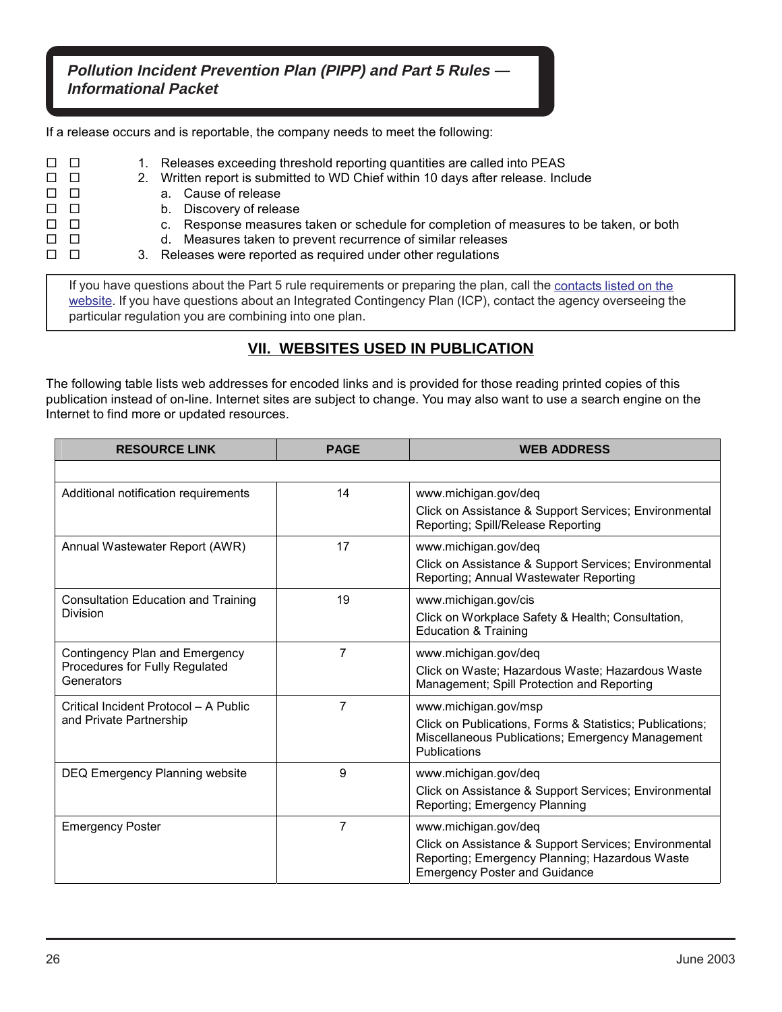If a release occurs and is reportable, the company needs to meet the following:

- $\Box$   $\Box$  1. Releases exceeding threshold reporting quantities are called into PEAS
- $\Box$   $\Box$  2. Written report is submitted to WD Chief within 10 days after release. Include
- a. Cause of release
- $\square$   $\square$
- □ □ c. Response measures taken or schedule for completion of measures to be taken, or both
- $\Box$   $\Box$
- $\Box$   $\Box$  3. Releases were reported as required under other regulations

If you have questions about the Part 5 rule requirements or preparing the plan, call the [contacts listed on the](http://www.michigan.gov/deq/0,4561,7-135-3313_23420---,00.html) website. If you have questions about an Integrated Contingency Plan (ICP), contact the agency overseeing the particular regulation you are combining into one plan.

# **VII. WEBSITES USED IN PUBLICATION**

The following table lists web addresses for encoded links and is provided for those reading printed copies of this publication instead of on-line. Internet sites are subject to change. You may also want to use a search engine on the Internet to find more or updated resources.

| <b>RESOURCE LINK</b>                                                           | <b>PAGE</b> | <b>WEB ADDRESS</b>                                                                                                                                                      |
|--------------------------------------------------------------------------------|-------------|-------------------------------------------------------------------------------------------------------------------------------------------------------------------------|
|                                                                                |             |                                                                                                                                                                         |
| Additional notification requirements                                           | 14          | www.michigan.gov/deq<br>Click on Assistance & Support Services; Environmental<br>Reporting; Spill/Release Reporting                                                     |
| Annual Wastewater Report (AWR)                                                 | 17          | www.michigan.gov/deq<br>Click on Assistance & Support Services; Environmental<br>Reporting; Annual Wastewater Reporting                                                 |
| <b>Consultation Education and Training</b><br><b>Division</b>                  | 19          | www.michigan.gov/cis<br>Click on Workplace Safety & Health; Consultation,<br><b>Education &amp; Training</b>                                                            |
| Contingency Plan and Emergency<br>Procedures for Fully Regulated<br>Generators | 7           | www.michigan.gov/deq<br>Click on Waste; Hazardous Waste; Hazardous Waste<br>Management; Spill Protection and Reporting                                                  |
| Critical Incident Protocol - A Public<br>and Private Partnership               | 7           | www.michigan.gov/msp<br>Click on Publications, Forms & Statistics; Publications;<br>Miscellaneous Publications; Emergency Management<br>Publications                    |
| DEQ Emergency Planning website                                                 | 9           | www.michigan.gov/deq<br>Click on Assistance & Support Services; Environmental<br>Reporting; Emergency Planning                                                          |
| <b>Emergency Poster</b>                                                        | 7           | www.michigan.gov/deq<br>Click on Assistance & Support Services; Environmental<br>Reporting; Emergency Planning; Hazardous Waste<br><b>Emergency Poster and Guidance</b> |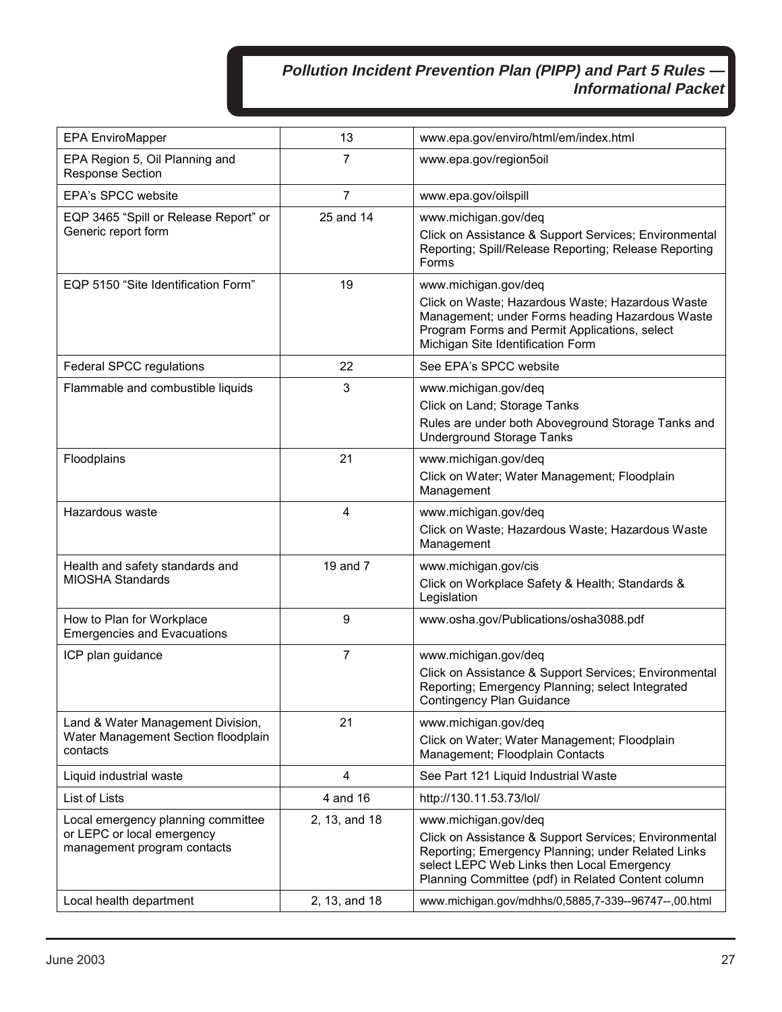| <b>EPA EnviroMapper</b>                                         | 13            | www.epa.gov/enviro/html/em/index.html                                                                                                                                                                           |
|-----------------------------------------------------------------|---------------|-----------------------------------------------------------------------------------------------------------------------------------------------------------------------------------------------------------------|
| EPA Region 5, Oil Planning and<br><b>Response Section</b>       | 7             | www.epa.gov/region5oil                                                                                                                                                                                          |
| <b>EPA's SPCC website</b>                                       | 7             | www.epa.gov/oilspill                                                                                                                                                                                            |
| EQP 3465 "Spill or Release Report" or                           | 25 and 14     | www.michigan.gov/deq                                                                                                                                                                                            |
| Generic report form                                             |               | Click on Assistance & Support Services; Environmental<br>Reporting; Spill/Release Reporting; Release Reporting<br>Forms                                                                                         |
| EQP 5150 "Site Identification Form"                             | 19            | www.michigan.gov/deq                                                                                                                                                                                            |
|                                                                 |               | Click on Waste; Hazardous Waste; Hazardous Waste<br>Management; under Forms heading Hazardous Waste<br>Program Forms and Permit Applications, select<br>Michigan Site Identification Form                       |
| Federal SPCC regulations                                        | 22            | See EPA's SPCC website                                                                                                                                                                                          |
| Flammable and combustible liquids                               | 3             | www.michigan.gov/deq                                                                                                                                                                                            |
|                                                                 |               | Click on Land; Storage Tanks                                                                                                                                                                                    |
|                                                                 |               | Rules are under both Aboveground Storage Tanks and<br><b>Underground Storage Tanks</b>                                                                                                                          |
| Floodplains                                                     | 21            | www.michigan.gov/deq                                                                                                                                                                                            |
|                                                                 |               | Click on Water; Water Management; Floodplain<br>Management                                                                                                                                                      |
| Hazardous waste                                                 | 4             | www.michigan.gov/deq                                                                                                                                                                                            |
|                                                                 |               | Click on Waste; Hazardous Waste; Hazardous Waste<br>Management                                                                                                                                                  |
| Health and safety standards and<br><b>MIOSHA Standards</b>      | 19 and 7      | www.michigan.gov/cis                                                                                                                                                                                            |
|                                                                 |               | Click on Workplace Safety & Health; Standards &<br>Legislation                                                                                                                                                  |
| How to Plan for Workplace<br><b>Emergencies and Evacuations</b> | 9             | www.osha.gov/Publications/osha3088.pdf                                                                                                                                                                          |
| ICP plan guidance                                               | 7             | www.michigan.gov/deq                                                                                                                                                                                            |
|                                                                 |               | Click on Assistance & Support Services; Environmental<br>Reporting; Emergency Planning; select Integrated<br><b>Contingency Plan Guidance</b>                                                                   |
| Land & Water Management Division,                               | 21            | www.michigan.gov/deq                                                                                                                                                                                            |
| Water Management Section floodplain<br>contacts                 |               | Click on Water; Water Management; Floodplain<br>Management; Floodplain Contacts                                                                                                                                 |
| Liquid industrial waste                                         | 4             | See Part 121 Liquid Industrial Waste                                                                                                                                                                            |
| List of Lists                                                   | 4 and 16      | http://130.11.53.73/lol/                                                                                                                                                                                        |
| Local emergency planning committee                              | 2, 13, and 18 | www.michigan.gov/deq                                                                                                                                                                                            |
| or LEPC or local emergency<br>management program contacts       |               | Click on Assistance & Support Services; Environmental<br>Reporting; Emergency Planning; under Related Links<br>select LEPC Web Links then Local Emergency<br>Planning Committee (pdf) in Related Content column |
| Local health department                                         | 2, 13, and 18 | www.michigan.gov/mdhhs/0,5885,7-339--96747--,00.html                                                                                                                                                            |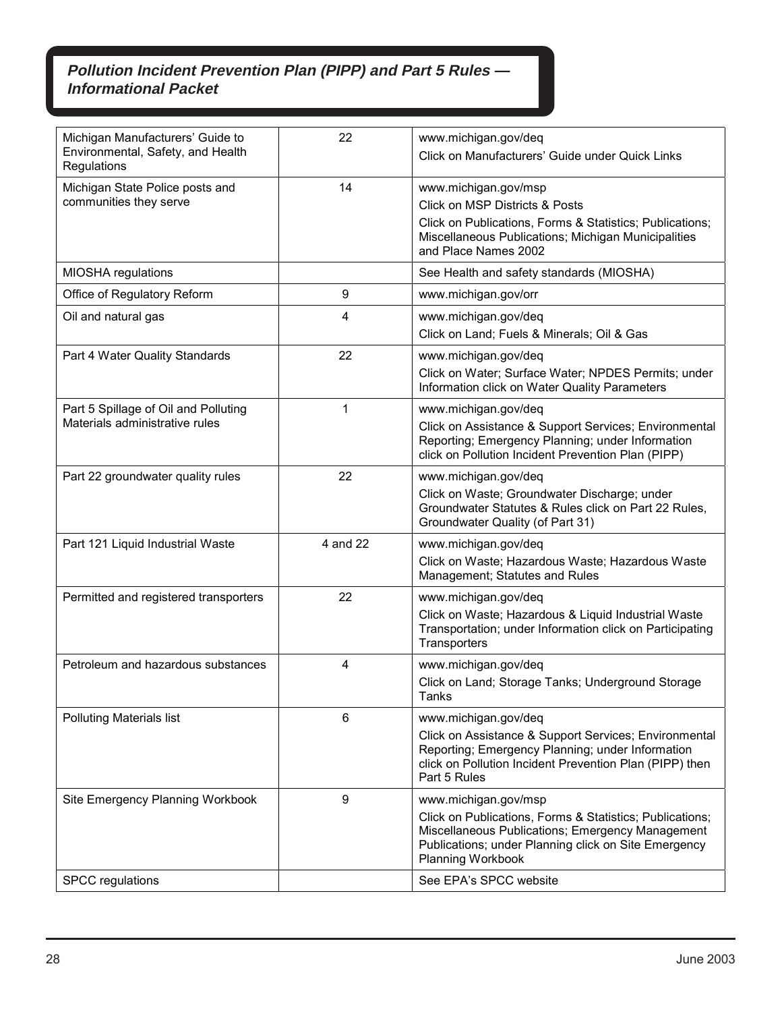| Michigan Manufacturers' Guide to<br>Environmental, Safety, and Health<br>Regulations | 22       | www.michigan.gov/deq<br>Click on Manufacturers' Guide under Quick Links                                                                                                                                                  |
|--------------------------------------------------------------------------------------|----------|--------------------------------------------------------------------------------------------------------------------------------------------------------------------------------------------------------------------------|
| Michigan State Police posts and<br>communities they serve                            | 14       | www.michigan.gov/msp<br><b>Click on MSP Districts &amp; Posts</b><br>Click on Publications, Forms & Statistics; Publications;<br>Miscellaneous Publications; Michigan Municipalities<br>and Place Names 2002             |
| MIOSHA regulations                                                                   |          | See Health and safety standards (MIOSHA)                                                                                                                                                                                 |
| Office of Regulatory Reform                                                          | 9        | www.michigan.gov/orr                                                                                                                                                                                                     |
| Oil and natural gas                                                                  | 4        | www.michigan.gov/deq<br>Click on Land; Fuels & Minerals; Oil & Gas                                                                                                                                                       |
| Part 4 Water Quality Standards                                                       | 22       | www.michigan.gov/deq<br>Click on Water; Surface Water; NPDES Permits; under<br>Information click on Water Quality Parameters                                                                                             |
| Part 5 Spillage of Oil and Polluting<br>Materials administrative rules               | 1        | www.michigan.gov/deq<br>Click on Assistance & Support Services; Environmental<br>Reporting; Emergency Planning; under Information<br>click on Pollution Incident Prevention Plan (PIPP)                                  |
| Part 22 groundwater quality rules                                                    | 22       | www.michigan.gov/deq<br>Click on Waste; Groundwater Discharge; under<br>Groundwater Statutes & Rules click on Part 22 Rules,<br>Groundwater Quality (of Part 31)                                                         |
| Part 121 Liquid Industrial Waste                                                     | 4 and 22 | www.michigan.gov/deq<br>Click on Waste; Hazardous Waste; Hazardous Waste<br>Management; Statutes and Rules                                                                                                               |
| Permitted and registered transporters                                                | 22       | www.michigan.gov/deq<br>Click on Waste; Hazardous & Liquid Industrial Waste<br>Transportation; under Information click on Participating<br>Transporters                                                                  |
| Petroleum and hazardous substances                                                   | 4        | www.michigan.gov/deq<br>Click on Land; Storage Tanks; Underground Storage<br>Tanks                                                                                                                                       |
| <b>Polluting Materials list</b>                                                      | 6        | www.michigan.gov/deq<br>Click on Assistance & Support Services; Environmental<br>Reporting; Emergency Planning; under Information<br>click on Pollution Incident Prevention Plan (PIPP) then<br>Part 5 Rules             |
| Site Emergency Planning Workbook                                                     | 9        | www.michigan.gov/msp<br>Click on Publications, Forms & Statistics; Publications;<br>Miscellaneous Publications; Emergency Management<br>Publications; under Planning click on Site Emergency<br><b>Planning Workbook</b> |
| <b>SPCC</b> regulations                                                              |          | See EPA's SPCC website                                                                                                                                                                                                   |